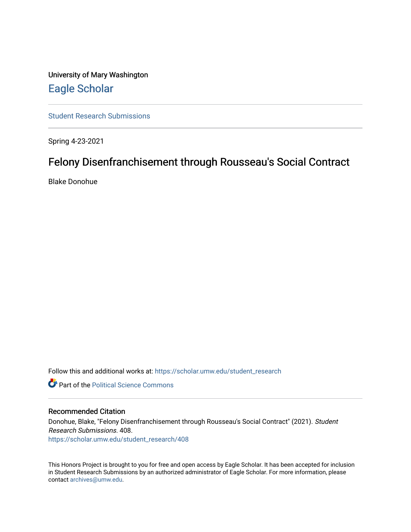University of Mary Washington [Eagle Scholar](https://scholar.umw.edu/) 

[Student Research Submissions](https://scholar.umw.edu/student_research) 

Spring 4-23-2021

# Felony Disenfranchisement through Rousseau's Social Contract

Blake Donohue

Follow this and additional works at: [https://scholar.umw.edu/student\\_research](https://scholar.umw.edu/student_research?utm_source=scholar.umw.edu%2Fstudent_research%2F408&utm_medium=PDF&utm_campaign=PDFCoverPages)

**Part of the Political Science Commons** 

# Recommended Citation

Donohue, Blake, "Felony Disenfranchisement through Rousseau's Social Contract" (2021). Student Research Submissions. 408. [https://scholar.umw.edu/student\\_research/408](https://scholar.umw.edu/student_research/408?utm_source=scholar.umw.edu%2Fstudent_research%2F408&utm_medium=PDF&utm_campaign=PDFCoverPages)

This Honors Project is brought to you for free and open access by Eagle Scholar. It has been accepted for inclusion in Student Research Submissions by an authorized administrator of Eagle Scholar. For more information, please contact [archives@umw.edu](mailto:archives@umw.edu).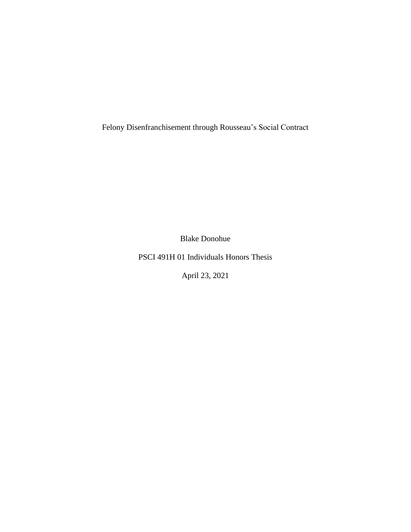Felony Disenfranchisement through Rousseau's Social Contract

Blake Donohue

PSCI 491H 01 Individuals Honors Thesis

April 23, 2021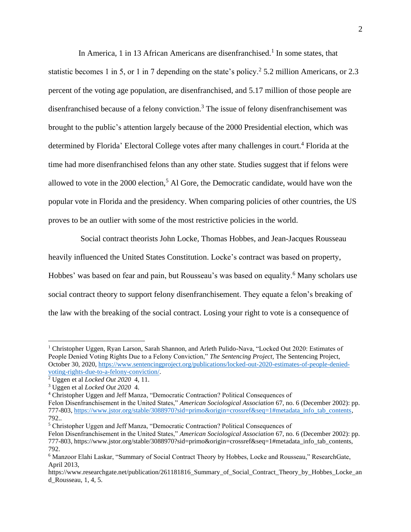In America, 1 in 13 African Americans are disenfranchised.<sup>1</sup> In some states, that statistic becomes 1 in 5, or 1 in 7 depending on the state's policy.<sup>2</sup> 5.2 million Americans, or 2.3 percent of the voting age population, are disenfranchised, and 5.17 million of those people are disenfranchised because of a felony conviction.<sup>3</sup> The issue of felony disenfranchisement was brought to the public's attention largely because of the 2000 Presidential election, which was determined by Florida' Electoral College votes after many challenges in court. <sup>4</sup> Florida at the time had more disenfranchised felons than any other state. Studies suggest that if felons were allowed to vote in the  $2000$  election,<sup>5</sup> Al Gore, the Democratic candidate, would have won the popular vote in Florida and the presidency. When comparing policies of other countries, the US proves to be an outlier with some of the most restrictive policies in the world.

 Social contract theorists John Locke, Thomas Hobbes, and Jean-Jacques Rousseau heavily influenced the United States Constitution. Locke's contract was based on property, Hobbes' was based on fear and pain, but Rousseau's was based on equality.<sup>6</sup> Many scholars use social contract theory to support felony disenfranchisement. They equate a felon's breaking of the law with the breaking of the social contract. Losing your right to vote is a consequence of

<sup>1</sup> Christopher Uggen, Ryan Larson, Sarah Shannon, and Arleth Pulido-Nava, "Locked Out 2020: Estimates of People Denied Voting Rights Due to a Felony Conviction," *The Sentencing Project,* The Sentencing Project, October 30, 2020[, https://www.sentencingproject.org/publications/locked-out-2020-estimates-of-people-denied](https://www.sentencingproject.org/publications/locked-out-2020-estimates-of-people-denied-voting-rights-due-to-a-felony-conviction/)[voting-rights-due-to-a-felony-conviction/.](https://www.sentencingproject.org/publications/locked-out-2020-estimates-of-people-denied-voting-rights-due-to-a-felony-conviction/)

<sup>2</sup> Uggen et al *Locked Out 2020* 4, 11.

<sup>3</sup> Uggen et al *Locked Out 2020* 4.

<sup>4</sup> Christopher Uggen and Jeff Manza, "Democratic Contraction? Political Consequences of

Felon Disenfranchisement in the United States," *American Sociological Association* 67, no. 6 (December 2002): pp. 777-803, [https://www.jstor.org/stable/3088970?sid=primo&origin=crossref&seq=1#metadata\\_info\\_tab\\_contents,](https://www.jstor.org/stable/3088970?sid=primo&origin=crossref&seq=1#metadata_info_tab_contents) 792..

<sup>5</sup> Christopher Uggen and Jeff Manza, "Democratic Contraction? Political Consequences of

Felon Disenfranchisement in the United States," *American Sociological Association* 67, no. 6 (December 2002): pp. 777-803, https://www.jstor.org/stable/3088970?sid=primo&origin=crossref&seq=1#metadata\_info\_tab\_contents, 792.

<sup>6</sup> Manzoor Elahi Laskar, "Summary of Social Contract Theory by Hobbes, Locke and Rousseau," ResearchGate, April 2013,

https://www.researchgate.net/publication/261181816\_Summary\_of\_Social\_Contract\_Theory\_by\_Hobbes\_Locke\_an d\_Rousseau, 1, 4, 5.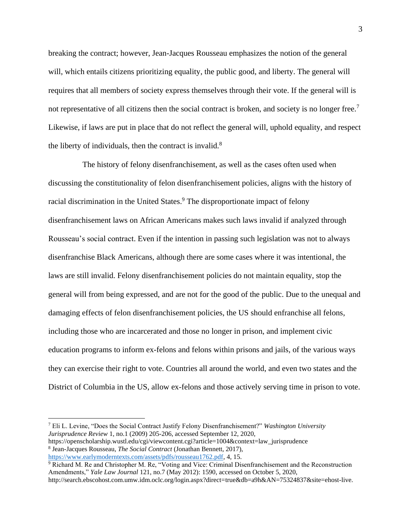breaking the contract; however, Jean-Jacques Rousseau emphasizes the notion of the general will, which entails citizens prioritizing equality, the public good, and liberty. The general will requires that all members of society express themselves through their vote. If the general will is not representative of all citizens then the social contract is broken, and society is no longer free.<sup>7</sup> Likewise, if laws are put in place that do not reflect the general will, uphold equality, and respect the liberty of individuals, then the contract is invalid. $8$ 

 The history of felony disenfranchisement, as well as the cases often used when discussing the constitutionality of felon disenfranchisement policies, aligns with the history of racial discrimination in the United States.<sup>9</sup> The disproportionate impact of felony disenfranchisement laws on African Americans makes such laws invalid if analyzed through Rousseau's social contract. Even if the intention in passing such legislation was not to always disenfranchise Black Americans, although there are some cases where it was intentional, the laws are still invalid. Felony disenfranchisement policies do not maintain equality, stop the general will from being expressed, and are not for the good of the public. Due to the unequal and damaging effects of felon disenfranchisement policies, the US should enfranchise all felons, including those who are incarcerated and those no longer in prison, and implement civic education programs to inform ex-felons and felons within prisons and jails, of the various ways they can exercise their right to vote. Countries all around the world, and even two states and the District of Columbia in the US, allow ex-felons and those actively serving time in prison to vote.

<sup>7</sup> Eli L. Levine, "Does the Social Contract Justify Felony Disenfranchisement?" *Washington University Jurisprudence Review* 1, no.1 (2009) 205-206, accessed September 12, 2020, https://openscholarship.wustl.edu/cgi/viewcontent.cgi?article=1004&context=law\_jurisprudence

<sup>8</sup> Jean-Jacques Rousseau, *The Social Contract* (Jonathan Bennett, 2017), [https://www.earlymoderntexts.com/assets/pdfs/rousseau1762.pdf,](https://www.earlymoderntexts.com/assets/pdfs/rousseau1762.pdf) 4, 15.

<sup>&</sup>lt;sup>9</sup> Richard M. Re and Christopher M. Re, "Voting and Vice: Criminal Disenfranchisement and the Reconstruction Amendments," *Yale Law Journal* 121, no.7 (May 2012): 1590, accessed on October 5, 2020,

http://search.ebscohost.com.umw.idm.oclc.org/login.aspx?direct=true&db=a9h&AN=75324837&site=ehost-live.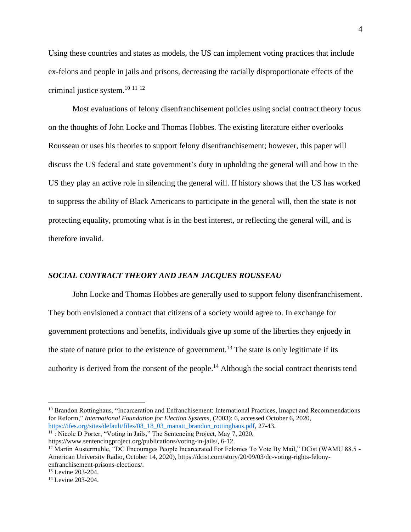Using these countries and states as models, the US can implement voting practices that include ex-felons and people in jails and prisons, decreasing the racially disproportionate effects of the criminal justice system.<sup>10</sup> <sup>11</sup> <sup>12</sup>

 Most evaluations of felony disenfranchisement policies using social contract theory focus on the thoughts of John Locke and Thomas Hobbes. The existing literature either overlooks Rousseau or uses his theories to support felony disenfranchisement; however, this paper will discuss the US federal and state government's duty in upholding the general will and how in the US they play an active role in silencing the general will. If history shows that the US has worked to suppress the ability of Black Americans to participate in the general will, then the state is not protecting equality, promoting what is in the best interest, or reflecting the general will, and is therefore invalid.

# *SOCIAL CONTRACT THEORY AND JEAN JACQUES ROUSSEAU*

John Locke and Thomas Hobbes are generally used to support felony disenfranchisement. They both envisioned a contract that citizens of a society would agree to. In exchange for government protections and benefits, individuals give up some of the liberties they enjoedy in the state of nature prior to the existence of government.<sup>13</sup> The state is only legitimate if its authority is derived from the consent of the people.<sup>14</sup> Although the social contract theorists tend

<sup>11</sup> : Nicole D Porter, "Voting in Jails," The Sentencing Project, May 7, 2020,

<sup>&</sup>lt;sup>10</sup> Brandon Rottinghaus, "Incarceration and Enfranchisement: International Practices, Imapct and Recommendations for Reform," *International Foundation for Election Systems,* (2003): 6, accessed October 6, 2020, [https://ifes.org/sites/default/files/08\\_18\\_03\\_manatt\\_brandon\\_rottinghaus.pdf,](https://ifes.org/sites/default/files/08_18_03_manatt_brandon_rottinghaus.pdf) 27-43.

https://www.sentencingproject.org/publications/voting-in-jails/, 6-12.

<sup>&</sup>lt;sup>12</sup> Martin Austermuhle, "DC Encourages People Incarcerated For Felonies To Vote By Mail," DCist (WAMU 88.5 -American University Radio, October 14, 2020), https://dcist.com/story/20/09/03/dc-voting-rights-felonyenfranchisement-prisons-elections/.

<sup>&</sup>lt;sup>13</sup> Levine 203-204.

<sup>&</sup>lt;sup>14</sup> Levine 203-204.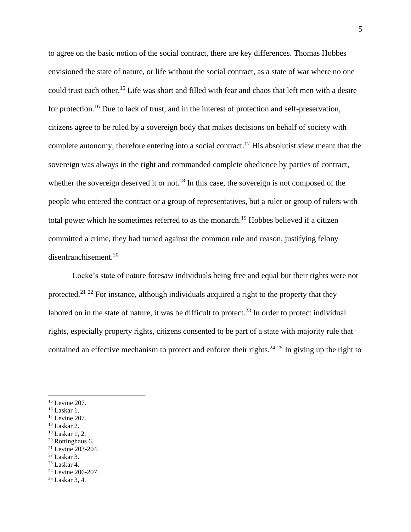to agree on the basic notion of the social contract, there are key differences. Thomas Hobbes envisioned the state of nature, or life without the social contract, as a state of war where no one could trust each other.<sup>15</sup> Life was short and filled with fear and chaos that left men with a desire for protection.<sup>16</sup> Due to lack of trust, and in the interest of protection and self-preservation, citizens agree to be ruled by a sovereign body that makes decisions on behalf of society with complete autonomy, therefore entering into a social contract.<sup>17</sup> His absolutist view meant that the sovereign was always in the right and commanded complete obedience by parties of contract, whether the sovereign deserved it or not.<sup>18</sup> In this case, the sovereign is not composed of the people who entered the contract or a group of representatives, but a ruler or group of rulers with total power which he sometimes referred to as the monarch.<sup>19</sup> Hobbes believed if a citizen committed a crime, they had turned against the common rule and reason, justifying felony disenfranchisement.<sup>20</sup>

Locke's state of nature foresaw individuals being free and equal but their rights were not protected.<sup>21 22</sup> For instance, although individuals acquired a right to the property that they labored on in the state of nature, it was be difficult to protect.<sup>23</sup> In order to protect individual rights, especially property rights, citizens consented to be part of a state with majority rule that contained an effective mechanism to protect and enforce their rights.<sup>24 25</sup> In giving up the right to

 $18$  Laskar 2.

- <sup>20</sup> Rottinghaus 6.
- <sup>21</sup> Levine 203-204.
- $22$  Laskar 3.

<sup>25</sup> Laskar 3, 4.

<sup>15</sup> Levine 207.

 $16$  Laskar 1.

<sup>17</sup> Levine 207.

<sup>19</sup> Laskar 1, 2.

 $23$  Laskar 4.

<sup>&</sup>lt;sup>24</sup> Levine 206-207.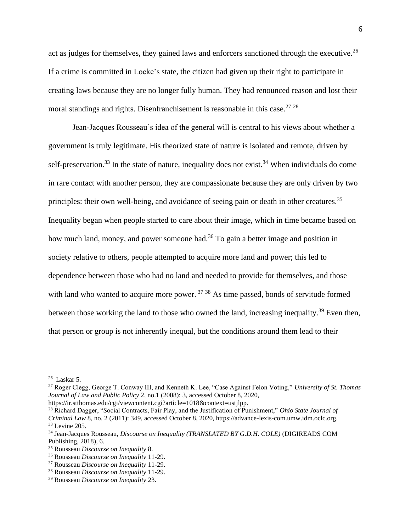act as judges for themselves, they gained laws and enforcers sanctioned through the executive.<sup>26</sup> If a crime is committed in Locke's state, the citizen had given up their right to participate in creating laws because they are no longer fully human. They had renounced reason and lost their moral standings and rights. Disenfranchisement is reasonable in this case.<sup>27, 28</sup>

Jean-Jacques Rousseau's idea of the general will is central to his views about whether a government is truly legitimate. His theorized state of nature is isolated and remote, driven by self-preservation.<sup>33</sup> In the state of nature, inequality does not exist.<sup>34</sup> When individuals do come in rare contact with another person, they are compassionate because they are only driven by two principles: their own well-being, and avoidance of seeing pain or death in other creatures.<sup>35</sup> Inequality began when people started to care about their image, which in time became based on how much land, money, and power someone had.<sup>36</sup> To gain a better image and position in society relative to others, people attempted to acquire more land and power; this led to dependence between those who had no land and needed to provide for themselves, and those with land who wanted to acquire more power.<sup>37</sup> <sup>38</sup> As time passed, bonds of servitude formed between those working the land to those who owned the land, increasing inequality.<sup>39</sup> Even then, that person or group is not inherently inequal, but the conditions around them lead to their

https://ir.stthomas.edu/cgi/viewcontent.cgi?article=1018&context=ustjlpp.

<sup>28</sup> Richard Dagger, "Social Contracts, Fair Play, and the Justification of Punishment," *Ohio State Journal of Criminal Law* 8, no. 2 (2011): 349, accessed October 8, 2020, https://advance-lexis-com.umw.idm.oclc.org. <sup>33</sup> Levine 205.

 $26$  Laskar 5.

<sup>27</sup> Roger Clegg, George T. Conway III, and Kenneth K. Lee, "Case Against Felon Voting," *University of St. Thomas Journal of Law and Public Policy* 2, no.1 (2008): 3, accessed October 8, 2020,

<sup>34</sup> Jean-Jacques Rousseau, *Discourse on Inequality (TRANSLATED BY G.D.H. COLE)* (DIGIREADS COM Publishing, 2018), 6.

<sup>35</sup> Rousseau *Discourse on Inequality* 8.

<sup>36</sup> Rousseau *Discourse on Inequality* 11-29.

<sup>37</sup> Rousseau *Discourse on Inequality* 11-29.

<sup>38</sup> Rousseau *Discourse on Inequality* 11-29.

<sup>39</sup> Rousseau *Discourse on Inequality* 23.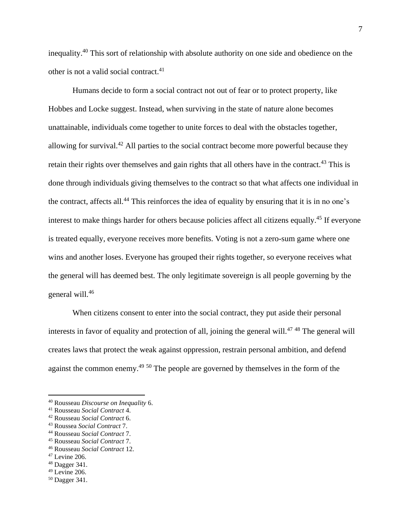inequality.<sup>40</sup> This sort of relationship with absolute authority on one side and obedience on the other is not a valid social contract.<sup>41</sup>

Humans decide to form a social contract not out of fear or to protect property, like Hobbes and Locke suggest. Instead, when surviving in the state of nature alone becomes unattainable, individuals come together to unite forces to deal with the obstacles together, allowing for survival.<sup>42</sup> All parties to the social contract become more powerful because they retain their rights over themselves and gain rights that all others have in the contract.<sup>43</sup> This is done through individuals giving themselves to the contract so that what affects one individual in the contract, affects all.<sup>44</sup> This reinforces the idea of equality by ensuring that it is in no one's interest to make things harder for others because policies affect all citizens equally. <sup>45</sup> If everyone is treated equally, everyone receives more benefits. Voting is not a zero-sum game where one wins and another loses. Everyone has grouped their rights together, so everyone receives what the general will has deemed best. The only legitimate sovereign is all people governing by the general will. 46

When citizens consent to enter into the social contract, they put aside their personal interests in favor of equality and protection of all, joining the general will.<sup>47,48</sup> The general will creates laws that protect the weak against oppression, restrain personal ambition, and defend against the common enemy.<sup>49 50</sup> The people are governed by themselves in the form of the

- <sup>46</sup> Rousseau *Social Contract* 12.
- $47$  Levine 206.

 $49$  Levine 206.

<sup>40</sup> Rousseau *Discourse on Inequality* 6.

<sup>41</sup> Rousseau *Social Contract* 4.

<sup>42</sup> Rousseau *Social Contract* 6.

<sup>43</sup> Roussea *Social Contract* 7.

<sup>44</sup> Rousseau *Social Contract* 7.

<sup>45</sup> Rousseau *Social Contract* 7.

<sup>48</sup> Dagger 341.

<sup>50</sup> Dagger 341.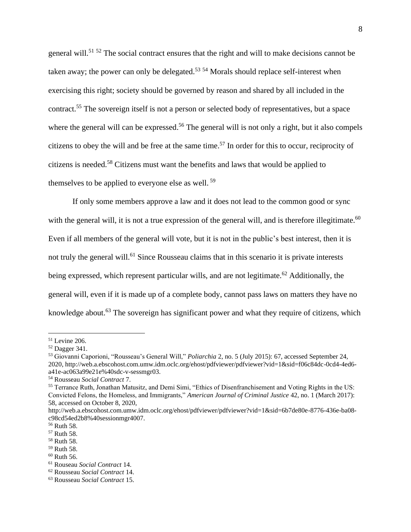general will.<sup>51 52</sup> The social contract ensures that the right and will to make decisions cannot be taken away; the power can only be delegated.<sup>53 54</sup> Morals should replace self-interest when exercising this right; society should be governed by reason and shared by all included in the contract.<sup>55</sup> The sovereign itself is not a person or selected body of representatives, but a space where the general will can be expressed.<sup>56</sup> The general will is not only a right, but it also compels citizens to obey the will and be free at the same time.<sup>57</sup> In order for this to occur, reciprocity of citizens is needed.<sup>58</sup> Citizens must want the benefits and laws that would be applied to themselves to be applied to everyone else as well.<sup>59</sup>

If only some members approve a law and it does not lead to the common good or sync with the general will, it is not a true expression of the general will, and is therefore illegitimate.<sup>60</sup> Even if all members of the general will vote, but it is not in the public's best interest, then it is not truly the general will.<sup>61</sup> Since Rousseau claims that in this scenario it is private interests being expressed, which represent particular wills, and are not legitimate.<sup>62</sup> Additionally, the general will, even if it is made up of a complete body, cannot pass laws on matters they have no knowledge about.<sup>63</sup> The sovereign has significant power and what they require of citizens, which

<sup>51</sup> Levine 206.

<sup>52</sup> Dagger 341.

<sup>53</sup> Giovanni Caporioni, "Rousseau's General Will," *Poliarchia* 2, no. 5 (July 2015): 67, accessed September 24, 2020, http://web.a.ebscohost.com.umw.idm.oclc.org/ehost/pdfviewer/pdfviewer?vid=1&sid=f06c84dc-0cd4-4ed6 a41e-ac063a99e21e%40sdc-v-sessmgr03.

<sup>54</sup> Rousseau *Social Contract* 7.

<sup>55</sup> Terrance Ruth, Jonathan Matusitz, and Demi Simi, "Ethics of Disenfranchisement and Voting Rights in the US: Convicted Felons, the Homeless, and Immigrants," *American Journal of Criminal Justice* 42, no. 1 (March 2017): 58, accessed on October 8, 2020,

http://web.a.ebscohost.com.umw.idm.oclc.org/ehost/pdfviewer/pdfviewer?vid=1&sid=6b7de80e-8776-436e-ba08 c98cd54ed2b8%40sessionmgr4007.

<sup>56</sup> Ruth 58.

<sup>57</sup> Ruth 58.

<sup>58</sup> Ruth 58.

<sup>59</sup> Ruth 58.

 $60$  Ruth 56.

<sup>61</sup> Rouseau *Social Contract* 14.

<sup>62</sup> Rousseau *Social Contract* 14.

<sup>63</sup> Rousseau *Social Contract* 15.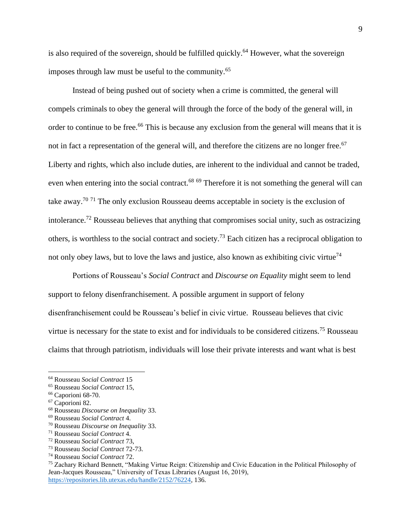is also required of the sovereign, should be fulfilled quickly.<sup>64</sup> However, what the sovereign imposes through law must be useful to the community.<sup>65</sup>

Instead of being pushed out of society when a crime is committed, the general will compels criminals to obey the general will through the force of the body of the general will, in order to continue to be free.<sup>66</sup> This is because any exclusion from the general will means that it is not in fact a representation of the general will, and therefore the citizens are no longer free.<sup>67</sup> Liberty and rights, which also include duties, are inherent to the individual and cannot be traded, even when entering into the social contract.<sup>68 69</sup> Therefore it is not something the general will can take away.<sup>70 71</sup> The only exclusion Rousseau deems acceptable in society is the exclusion of intolerance.<sup>72</sup> Rousseau believes that anything that compromises social unity, such as ostracizing others, is worthless to the social contract and society.<sup>73</sup> Each citizen has a reciprocal obligation to not only obey laws, but to love the laws and justice, also known as exhibiting civic virtue<sup>74</sup>

Portions of Rousseau's *Social Contract* and *Discourse on Equality* might seem to lend support to felony disenfranchisement. A possible argument in support of felony disenfranchisement could be Rousseau's belief in civic virtue. Rousseau believes that civic virtue is necessary for the state to exist and for individuals to be considered citizens.<sup>75</sup> Rousseau claims that through patriotism, individuals will lose their private interests and want what is best

<sup>64</sup> Rousseau *Social Contract* 15

<sup>65</sup> Rousseau *Social Contract* 15,

<sup>&</sup>lt;sup>66</sup> Caporioni 68-70.

<sup>67</sup> Caporioni 82.

<sup>68</sup> Rousseau *Discourse on Inequality* 33.

<sup>69</sup> Rousseau *Social Contract* 4.

<sup>70</sup> Rousseau *Discourse on Inequality* 33.

<sup>71</sup> Rousseau *Social Contract* 4.

<sup>72</sup> Rousseau *Social Contract* 73,

<sup>73</sup> Rousseau *Social Contract* 72-73.

<sup>74</sup> Rousseau *Social Contract* 72.

<sup>75</sup> Zachary Richard Bennett, "Making Virtue Reign: Citizenship and Civic Education in the Political Philosophy of Jean-Jacques Rousseau," University of Texas Libraries (August 16, 2019), [https://repositories.lib.utexas.edu/handle/2152/76224,](https://repositories.lib.utexas.edu/handle/2152/76224) 136.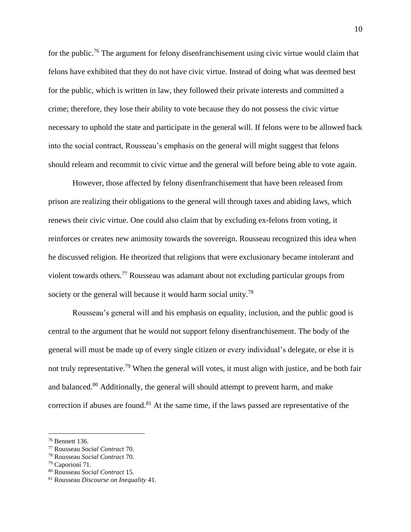for the public.<sup>76</sup> The argument for felony disenfranchisement using civic virtue would claim that felons have exhibited that they do not have civic virtue. Instead of doing what was deemed best for the public, which is written in law, they followed their private interests and committed a crime; therefore, they lose their ability to vote because they do not possess the civic virtue necessary to uphold the state and participate in the general will. If felons were to be allowed back into the social contract, Rousseau's emphasis on the general will might suggest that felons should relearn and recommit to civic virtue and the general will before being able to vote again.

However, those affected by felony disenfranchisement that have been released from prison are realizing their obligations to the general will through taxes and abiding laws, which renews their civic virtue. One could also claim that by excluding ex-felons from voting, it reinforces or creates new animosity towards the sovereign. Rousseau recognized this idea when he discussed religion. He theorized that religions that were exclusionary became intolerant and violent towards others.<sup>77</sup> Rousseau was adamant about not excluding particular groups from society or the general will because it would harm social unity.<sup>78</sup>

Rousseau's general will and his emphasis on equality, inclusion, and the public good is central to the argument that he would not support felony disenfranchisement. The body of the general will must be made up of every single citizen or every individual's delegate, or else it is not truly representative.<sup>79</sup> When the general will votes, it must align with justice, and be both fair and balanced.<sup>80</sup> Additionally, the general will should attempt to prevent harm, and make correction if abuses are found. <sup>81</sup> At the same time, if the laws passed are representative of the

<sup>76</sup> Bennett 136.

<sup>77</sup> Rousseau *Social Contract* 70.

<sup>78</sup> Rousseau *Social Contract* 70.

<sup>79</sup> Caporioni 71.

<sup>80</sup> Rousseau *Social Contract* 15.

<sup>81</sup> Rousseau *Discourse on Inequality* 41.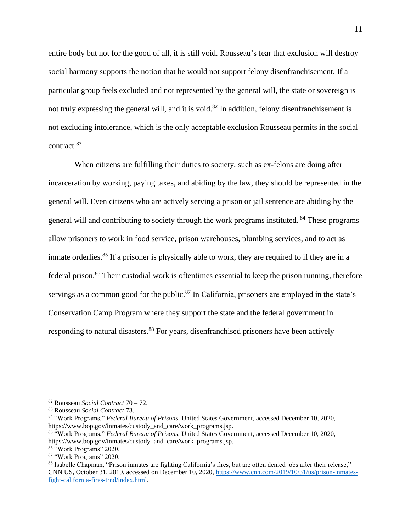entire body but not for the good of all, it is still void. Rousseau's fear that exclusion will destroy social harmony supports the notion that he would not support felony disenfranchisement. If a particular group feels excluded and not represented by the general will, the state or sovereign is not truly expressing the general will, and it is void.<sup>82</sup> In addition, felony disenfranchisement is not excluding intolerance, which is the only acceptable exclusion Rousseau permits in the social contract.<sup>83</sup>

When citizens are fulfilling their duties to society, such as ex-felons are doing after incarceration by working, paying taxes, and abiding by the law, they should be represented in the general will. Even citizens who are actively serving a prison or jail sentence are abiding by the general will and contributing to society through the work programs instituted. <sup>84</sup> These programs allow prisoners to work in food service, prison warehouses, plumbing services, and to act as inmate orderlies.<sup>85</sup> If a prisoner is physically able to work, they are required to if they are in a federal prison.<sup>86</sup> Their custodial work is oftentimes essential to keep the prison running, therefore servings as a common good for the public.<sup>87</sup> In California, prisoners are employed in the state's Conservation Camp Program where they support the state and the federal government in responding to natural disasters.<sup>88</sup> For years, disenfranchised prisoners have been actively

- <sup>85</sup> "Work Programs," *Federal Bureau of Prisons,* United States Government, accessed December 10, 2020, https://www.bop.gov/inmates/custody\_and\_care/work\_programs.jsp.
- <sup>86</sup> "Work Programs" 2020.

<sup>82</sup> Rousseau *Social Contract* 70 – 72.

<sup>83</sup> Rousseau *Social Contract* 73.

<sup>84</sup> "Work Programs," *Federal Bureau of Prisons,* United States Government, accessed December 10, 2020, https://www.bop.gov/inmates/custody\_and\_care/work\_programs.jsp.

<sup>87</sup> "Work Programs" 2020.

<sup>88</sup> Isabelle Chapman, "Prison inmates are fighting California's fires, but are often denied jobs after their release," CNN US, October 31, 2019, accessed on December 10, 2020[, https://www.cnn.com/2019/10/31/us/prison-inmates](https://www.cnn.com/2019/10/31/us/prison-inmates-fight-california-fires-trnd/index.html)[fight-california-fires-trnd/index.html.](https://www.cnn.com/2019/10/31/us/prison-inmates-fight-california-fires-trnd/index.html)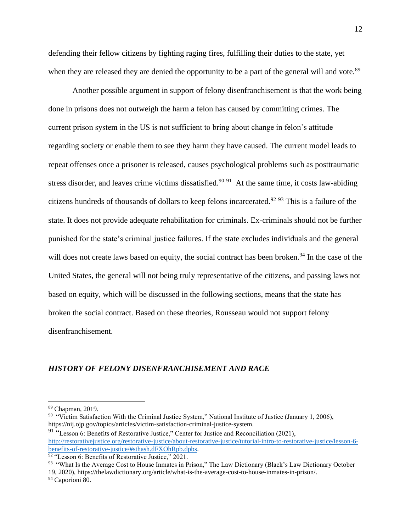defending their fellow citizens by fighting raging fires, fulfilling their duties to the state, yet when they are released they are denied the opportunity to be a part of the general will and vote.<sup>89</sup>

Another possible argument in support of felony disenfranchisement is that the work being done in prisons does not outweigh the harm a felon has caused by committing crimes. The current prison system in the US is not sufficient to bring about change in felon's attitude regarding society or enable them to see they harm they have caused. The current model leads to repeat offenses once a prisoner is released, causes psychological problems such as posttraumatic stress disorder, and leaves crime victims dissatisfied.<sup>90 91</sup> At the same time, it costs law-abiding citizens hundreds of thousands of dollars to keep felons incarcerated.<sup>92 93</sup> This is a failure of the state. It does not provide adequate rehabilitation for criminals. Ex-criminals should not be further punished for the state's criminal justice failures. If the state excludes individuals and the general will does not create laws based on equity, the social contract has been broken.<sup>94</sup> In the case of the United States, the general will not being truly representative of the citizens, and passing laws not based on equity, which will be discussed in the following sections, means that the state has broken the social contract. Based on these theories, Rousseau would not support felony disenfranchisement.

# *HISTORY OF FELONY DISENFRANCHISEMENT AND RACE*

<sup>89</sup> Chapman, 2019.

<sup>&</sup>lt;sup>90</sup> "Victim Satisfaction With the Criminal Justice System," National Institute of Justice (January 1, 2006), https://nij.ojp.gov/topics/articles/victim-satisfaction-criminal-justice-system.

<sup>&</sup>lt;sup>91</sup> "Lesson 6: Benefits of Restorative Justice," Center for Justice and Reconciliation (2021), [http://restorativejustice.org/restorative-justice/about-restorative-justice/tutorial-intro-to-restorative-justice/lesson-6](http://restorativejustice.org/restorative-justice/about-restorative-justice/tutorial-intro-to-restorative-justice/lesson-6-benefits-of-restorative-justice/#sthash.dFXOhRpb.dpbs) [benefits-of-restorative-justice/#sthash.dFXOhRpb.dpbs.](http://restorativejustice.org/restorative-justice/about-restorative-justice/tutorial-intro-to-restorative-justice/lesson-6-benefits-of-restorative-justice/#sthash.dFXOhRpb.dpbs)

<sup>&</sup>lt;sup>92</sup> "Lesson 6: Benefits of Restorative Justice," 2021.

<sup>&</sup>lt;sup>93</sup> "What Is the Average Cost to House Inmates in Prison," The Law Dictionary (Black's Law Dictionary October 19, 2020), https://thelawdictionary.org/article/what-is-the-average-cost-to-house-inmates-in-prison/. <sup>94</sup> Caporioni 80.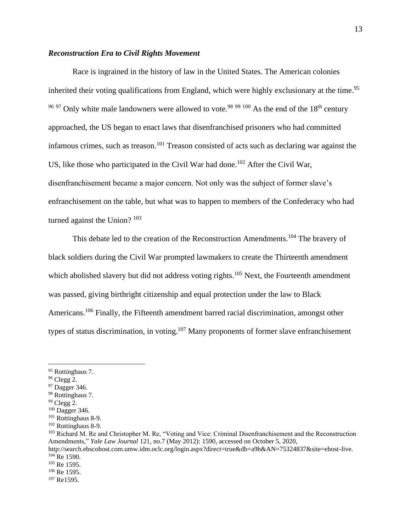# *Reconstruction Era to Civil Rights Movement*

Race is ingrained in the history of law in the United States. The American colonies inherited their voting qualifications from England, which were highly exclusionary at the time.<sup>95</sup>  $9697$  Only white male landowners were allowed to vote.<sup>98 99 100</sup> As the end of the 18<sup>th</sup> century approached, the US began to enact laws that disenfranchised prisoners who had committed infamous crimes, such as treason. <sup>101</sup> Treason consisted of acts such as declaring war against the US, like those who participated in the Civil War had done.<sup>102</sup> After the Civil War, disenfranchisement became a major concern. Not only was the subject of former slave's enfranchisement on the table, but what was to happen to members of the Confederacy who had turned against the Union?<sup>103</sup>

This debate led to the creation of the Reconstruction Amendments.<sup>104</sup> The bravery of black soldiers during the Civil War prompted lawmakers to create the Thirteenth amendment which abolished slavery but did not address voting rights.<sup>105</sup> Next, the Fourteenth amendment was passed, giving birthright citizenship and equal protection under the law to Black Americans.<sup>106</sup> Finally, the Fifteenth amendment barred racial discrimination, amongst other types of status discrimination, in voting.<sup>107</sup> Many proponents of former slave enfranchisement

- $96$  Clegg 2.
- <sup>97</sup> Dagger 346.
- <sup>98</sup> Rottinghaus 7.
- $99$  Clegg 2.

<sup>95</sup> Rottinghaus 7.

<sup>100</sup> Dagger 346.

<sup>101</sup> Rottinghaus 8-9.

<sup>102</sup> Rottinghaus 8-9.

<sup>&</sup>lt;sup>103</sup> Richard M. Re and Christopher M. Re, "Voting and Vice: Criminal Disenfranchisement and the Reconstruction Amendments," *Yale Law Journal* 121, no.7 (May 2012): 1590, accessed on October 5, 2020,

http://search.ebscohost.com.umw.idm.oclc.org/login.aspx?direct=true&db=a9h&AN=75324837&site=ehost-live. <sup>104</sup> Re 1590.

<sup>&</sup>lt;sup>105</sup> Re 1595.

<sup>106</sup> Re 1595.

<sup>107</sup> Re1595.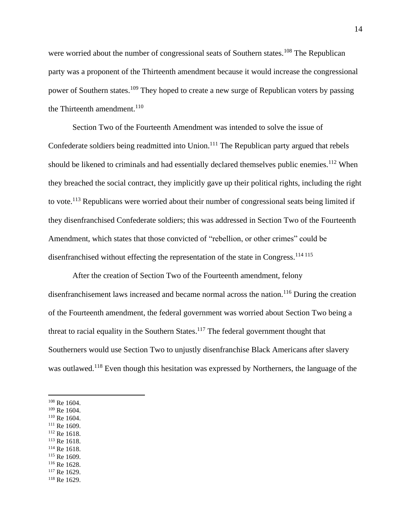were worried about the number of congressional seats of Southern states.<sup>108</sup> The Republican party was a proponent of the Thirteenth amendment because it would increase the congressional power of Southern states.<sup>109</sup> They hoped to create a new surge of Republican voters by passing the Thirteenth amendment. $110$ 

Section Two of the Fourteenth Amendment was intended to solve the issue of Confederate soldiers being readmitted into Union.<sup>111</sup> The Republican party argued that rebels should be likened to criminals and had essentially declared themselves public enemies.<sup>112</sup> When they breached the social contract, they implicitly gave up their political rights, including the right to vote.<sup>113</sup> Republicans were worried about their number of congressional seats being limited if they disenfranchised Confederate soldiers; this was addressed in Section Two of the Fourteenth Amendment, which states that those convicted of "rebellion, or other crimes" could be disenfranchised without effecting the representation of the state in Congress.<sup>114 115</sup>

After the creation of Section Two of the Fourteenth amendment, felony disenfranchisement laws increased and became normal across the nation.<sup>116</sup> During the creation of the Fourteenth amendment, the federal government was worried about Section Two being a threat to racial equality in the Southern States.<sup>117</sup> The federal government thought that Southerners would use Section Two to unjustly disenfranchise Black Americans after slavery was outlawed.<sup>118</sup> Even though this hesitation was expressed by Northerners, the language of the

- <sup>109</sup> Re 1604.
- <sup>110</sup> Re 1604.
- <sup>111</sup> Re 1609.
- <sup>112</sup> Re 1618.
- <sup>113</sup> Re 1618.
- <sup>114</sup> Re 1618.
- <sup>115</sup> Re 1609. <sup>116</sup> Re 1628.
- <sup>117</sup> Re 1629.
- <sup>118</sup> Re 1629.

<sup>108</sup> Re 1604.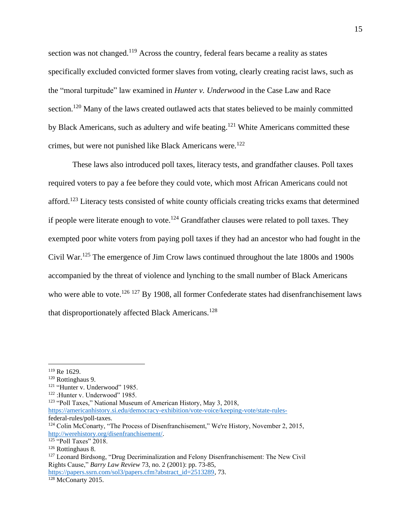section was not changed.<sup>119</sup> Across the country, federal fears became a reality as states specifically excluded convicted former slaves from voting, clearly creating racist laws, such as the "moral turpitude" law examined in *Hunter v. Underwood* in the Case Law and Race section.<sup>120</sup> Many of the laws created outlawed acts that states believed to be mainly committed by Black Americans, such as adultery and wife beating.<sup>121</sup> White Americans committed these crimes, but were not punished like Black Americans were.<sup>122</sup>

These laws also introduced poll taxes, literacy tests, and grandfather clauses. Poll taxes required voters to pay a fee before they could vote, which most African Americans could not afford.<sup>123</sup> Literacy tests consisted of white county officials creating tricks exams that determined if people were literate enough to vote.<sup>124</sup> Grandfather clauses were related to poll taxes. They exempted poor white voters from paying poll taxes if they had an ancestor who had fought in the Civil War.<sup>125</sup> The emergence of Jim Crow laws continued throughout the late 1800s and 1900s accompanied by the threat of violence and lynching to the small number of Black Americans who were able to vote.<sup>126 127</sup> By 1908, all former Confederate states had disenfranchisement laws that disproportionately affected Black Americans.<sup>128</sup>

<sup>119</sup> Re 1629.

<sup>120</sup> Rottinghaus 9.

<sup>&</sup>lt;sup>121</sup> "Hunter v. Underwood" 1985.

<sup>122</sup> :Hunter v. Underwood" 1985.

<sup>123</sup> "Poll Taxes," National Museum of American History, May 3, 2018,

[https://americanhistory.si.edu/democracy-exhibition/vote-voice/keeping-vote/state-rules](https://americanhistory.si.edu/democracy-exhibition/vote-voice/keeping-vote/state-rules-)federal-rules/poll-taxes.

<sup>&</sup>lt;sup>124</sup> Colin McConarty, "The Process of Disenfranchisement," We're History, November 2, 2015, [http://werehistory.org/disenfranchisement/.](http://werehistory.org/disenfranchisement/)

<sup>&</sup>lt;sup>125</sup> "Poll Taxes" 2018.

<sup>126</sup> Rottinghaus 8.

<sup>&</sup>lt;sup>127</sup> Leonard Birdsong, "Drug Decriminalization and Felony Disenfranchisement: The New Civil Rights Cause," *Barry Law Review* 73, no. 2 (2001): pp. 73-85, [https://papers.ssrn.com/sol3/papers.cfm?abstract\\_id=2513289,](https://papers.ssrn.com/sol3/papers.cfm?abstract_id=2513289) 73.

 $128$  McConarty 2015.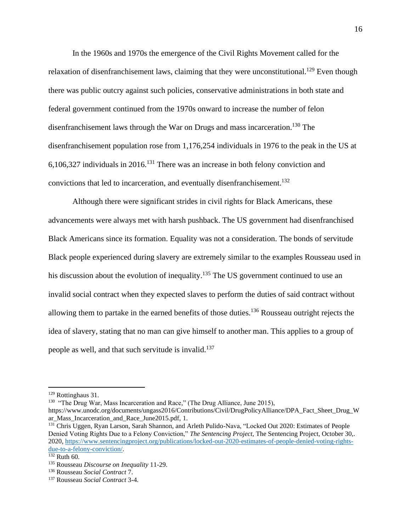In the 1960s and 1970s the emergence of the Civil Rights Movement called for the relaxation of disenfranchisement laws, claiming that they were unconstitutional.<sup>129</sup> Even though there was public outcry against such policies, conservative administrations in both state and federal government continued from the 1970s onward to increase the number of felon disenfranchisement laws through the War on Drugs and mass incarceration. <sup>130</sup> The disenfranchisement population rose from 1,176,254 individuals in 1976 to the peak in the US at  $6,106,327$  individuals in 2016.<sup>131</sup> There was an increase in both felony conviction and convictions that led to incarceration, and eventually disenfranchisement.<sup>132</sup>

Although there were significant strides in civil rights for Black Americans, these advancements were always met with harsh pushback. The US government had disenfranchised Black Americans since its formation. Equality was not a consideration. The bonds of servitude Black people experienced during slavery are extremely similar to the examples Rousseau used in his discussion about the evolution of inequality.<sup>135</sup> The US government continued to use an invalid social contract when they expected slaves to perform the duties of said contract without allowing them to partake in the earned benefits of those duties.<sup>136</sup> Rousseau outright rejects the idea of slavery, stating that no man can give himself to another man. This applies to a group of people as well, and that such servitude is invalid.<sup>137</sup>

<sup>129</sup> Rottinghaus 31.

<sup>&</sup>lt;sup>130</sup> "The Drug War, Mass Incarceration and Race," (The Drug Alliance, June 2015),

https://www.unodc.org/documents/ungass2016/Contributions/Civil/DrugPolicyAlliance/DPA\_Fact\_Sheet\_Drug\_W ar\_Mass\_Incarceration\_and\_Race\_June2015.pdf, 1.

<sup>&</sup>lt;sup>131</sup> Chris Uggen, Ryan Larson, Sarah Shannon, and Arleth Pulido-Nava, "Locked Out 2020: Estimates of People Denied Voting Rights Due to a Felony Conviction," *The Sentencing Project,* The Sentencing Project, October 30,. 2020, [https://www.sentencingproject.org/publications/locked-out-2020-estimates-of-people-denied-voting-rights](https://www.sentencingproject.org/publications/locked-out-2020-estimates-of-people-denied-voting-rights-due-to-a-felony-conviction/)[due-to-a-felony-conviction/.](https://www.sentencingproject.org/publications/locked-out-2020-estimates-of-people-denied-voting-rights-due-to-a-felony-conviction/)

 $132$  Ruth 60.

<sup>135</sup> Rousseau *Discourse on Inequality* 11-29.

<sup>136</sup> Rousseau *Social Contract* 7.

<sup>137</sup> Rousseau *Social Contract* 3-4.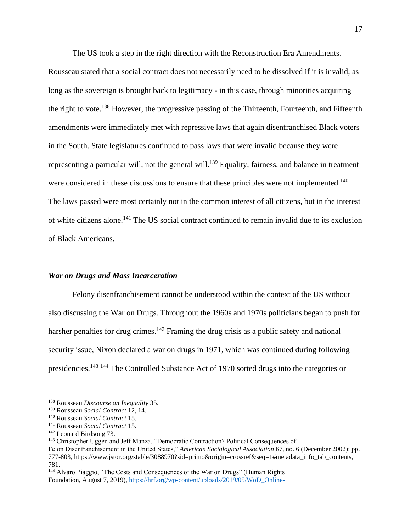The US took a step in the right direction with the Reconstruction Era Amendments.

Rousseau stated that a social contract does not necessarily need to be dissolved if it is invalid, as long as the sovereign is brought back to legitimacy - in this case, through minorities acquiring the right to vote.<sup>138</sup> However, the progressive passing of the Thirteenth, Fourteenth, and Fifteenth amendments were immediately met with repressive laws that again disenfranchised Black voters in the South. State legislatures continued to pass laws that were invalid because they were representing a particular will, not the general will.<sup>139</sup> Equality, fairness, and balance in treatment were considered in these discussions to ensure that these principles were not implemented.<sup>140</sup> The laws passed were most certainly not in the common interest of all citizens, but in the interest of white citizens alone.<sup>141</sup> The US social contract continued to remain invalid due to its exclusion of Black Americans.

#### *War on Drugs and Mass Incarceration*

Felony disenfranchisement cannot be understood within the context of the US without also discussing the War on Drugs. Throughout the 1960s and 1970s politicians began to push for harsher penalties for drug crimes.<sup>142</sup> Framing the drug crisis as a public safety and national security issue, Nixon declared a war on drugs in 1971, which was continued during following presidencies.<sup>143</sup> <sup>144</sup> The Controlled Substance Act of 1970 sorted drugs into the categories or

<sup>138</sup> Rousseau *Discourse on Inequality* 35.

<sup>139</sup> Rousseau *Social Contract* 12, 14.

<sup>140</sup> Rousseau *Social Contract* 15.

<sup>141</sup> Rousseau *Social Contract* 15.

<sup>142</sup> Leonard Birdsong 73.

<sup>143</sup> Christopher Uggen and Jeff Manza, "Democratic Contraction? Political Consequences of

Felon Disenfranchisement in the United States," *American Sociological Association* 67, no. 6 (December 2002): pp. 777-803, https://www.jstor.org/stable/3088970?sid=primo&origin=crossref&seq=1#metadata\_info\_tab\_contents, 781.

<sup>&</sup>lt;sup>144</sup> Alvaro Piaggio, "The Costs and Consequences of the War on Drugs" (Human Rights Foundation, August 7, 2019), [https://hrf.org/wp-content/uploads/2019/05/WoD\\_Online-](https://hrf.org/wp-content/uploads/2019/05/WoD_Online-)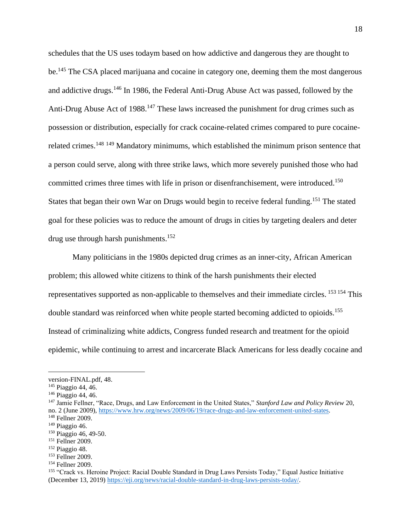schedules that the US uses todaym based on how addictive and dangerous they are thought to be.<sup>145</sup> The CSA placed marijuana and cocaine in category one, deeming them the most dangerous and addictive drugs.<sup>146</sup> In 1986, the Federal Anti-Drug Abuse Act was passed, followed by the Anti-Drug Abuse Act of  $1988$ <sup>147</sup> These laws increased the punishment for drug crimes such as possession or distribution, especially for crack cocaine-related crimes compared to pure cocainerelated crimes.<sup>148 149</sup> Mandatory minimums, which established the minimum prison sentence that a person could serve, along with three strike laws, which more severely punished those who had committed crimes three times with life in prison or disenfranchisement, were introduced.<sup>150</sup> States that began their own War on Drugs would begin to receive federal funding.<sup>151</sup> The stated goal for these policies was to reduce the amount of drugs in cities by targeting dealers and deter drug use through harsh punishments. 152

Many politicians in the 1980s depicted drug crimes as an inner-city, African American problem; this allowed white citizens to think of the harsh punishments their elected representatives supported as non-applicable to themselves and their immediate circles. <sup>153 154</sup> This double standard was reinforced when white people started becoming addicted to opioids.<sup>155</sup> Instead of criminalizing white addicts, Congress funded research and treatment for the opioid epidemic, while continuing to arrest and incarcerate Black Americans for less deadly cocaine and

version-FINAL.pdf, 48.

<sup>145</sup> Piaggio 44, 46.

<sup>146</sup> Piaggio 44, 46.

<sup>147</sup> Jamie Fellner, "Race, Drugs, and Law Enforcement in the United States," *Stanford Law and Policy Review* 20, no. 2 (June 2009), [https://www.hrw.org/news/2009/06/19/race-drugs-and-law-enforcement-united-states.](https://www.hrw.org/news/2009/06/19/race-drugs-and-law-enforcement-united-states)

<sup>148</sup> Fellner 2009.

 $149$  Piaggio 46.

<sup>150</sup> Piaggio 46, 49-50.

<sup>&</sup>lt;sup>151</sup> Fellner 2009.

<sup>152</sup> Piaggio 48.

<sup>153</sup> Fellner 2009.

<sup>154</sup> Fellner 2009.

<sup>155</sup> "Crack vs. Heroine Project: Racial Double Standard in Drug Laws Persists Today," Equal Justice Initiative (December 13, 2019[\) https://eji.org/news/racial-double-standard-in-drug-laws-persists-today/.](https://eji.org/news/racial-double-standard-in-drug-laws-persists-today/)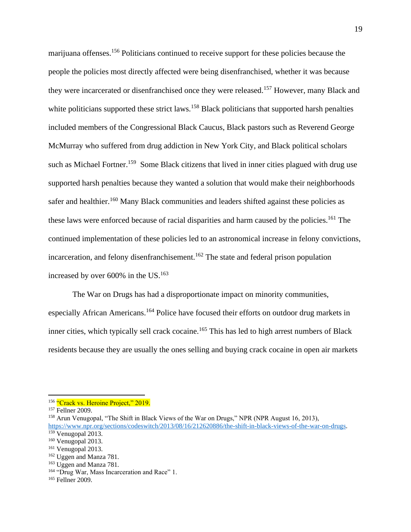marijuana offenses.<sup>156</sup> Politicians continued to receive support for these policies because the people the policies most directly affected were being disenfranchised, whether it was because they were incarcerated or disenfranchised once they were released.<sup>157</sup> However, many Black and white politicians supported these strict laws.<sup>158</sup> Black politicians that supported harsh penalties included members of the Congressional Black Caucus, Black pastors such as Reverend George McMurray who suffered from drug addiction in New York City, and Black political scholars such as Michael Fortner.<sup>159</sup> Some Black citizens that lived in inner cities plagued with drug use supported harsh penalties because they wanted a solution that would make their neighborhoods safer and healthier.<sup>160</sup> Many Black communities and leaders shifted against these policies as these laws were enforced because of racial disparities and harm caused by the policies.<sup>161</sup> The continued implementation of these policies led to an astronomical increase in felony convictions, incarceration, and felony disenfranchisement.<sup>162</sup> The state and federal prison population increased by over 600% in the US. 163

The War on Drugs has had a disproportionate impact on minority communities, especially African Americans.<sup>164</sup> Police have focused their efforts on outdoor drug markets in inner cities, which typically sell crack cocaine.<sup>165</sup> This has led to high arrest numbers of Black residents because they are usually the ones selling and buying crack cocaine in open air markets

<sup>&</sup>lt;sup>156</sup> "Crack vs. Heroine Project," 2019.

<sup>157</sup> Fellner 2009.

<sup>&</sup>lt;sup>158</sup> Arun Venugopal, "The Shift in Black Views of the War on Drugs," NPR (NPR August 16, 2013), [https://www.npr.org/sections/codeswitch/2013/08/16/212620886/the-shift-in-black-views-of-the-war-on-drugs.](https://www.npr.org/sections/codeswitch/2013/08/16/212620886/the-shift-in-black-views-of-the-war-on-drugs)

<sup>159</sup> Venugopal 2013.

 $160$  Venugopal 2013.

<sup>161</sup> Venugopal 2013.

<sup>162</sup> Uggen and Manza 781.

<sup>&</sup>lt;sup>163</sup> Uggen and Manza 781.

<sup>&</sup>lt;sup>164</sup> "Drug War, Mass Incarceration and Race" 1.

<sup>165</sup> Fellner 2009.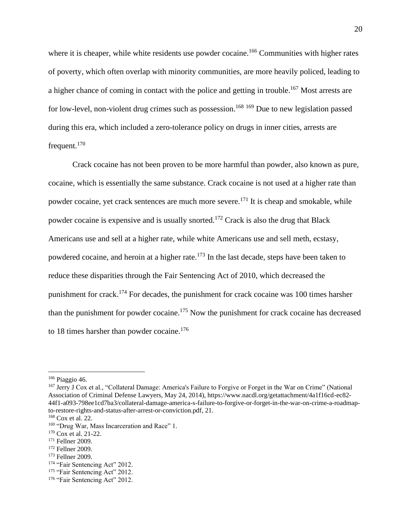where it is cheaper, while white residents use powder cocaine.<sup>166</sup> Communities with higher rates of poverty, which often overlap with minority communities, are more heavily policed, leading to a higher chance of coming in contact with the police and getting in trouble.<sup>167</sup> Most arrests are for low-level, non-violent drug crimes such as possession.<sup>168 169</sup> Due to new legislation passed during this era, which included a zero-tolerance policy on drugs in inner cities, arrests are frequent.<sup>170</sup>

Crack cocaine has not been proven to be more harmful than powder, also known as pure, cocaine, which is essentially the same substance. Crack cocaine is not used at a higher rate than powder cocaine, yet crack sentences are much more severe.<sup>171</sup> It is cheap and smokable, while powder cocaine is expensive and is usually snorted.<sup>172</sup> Crack is also the drug that Black Americans use and sell at a higher rate, while white Americans use and sell meth, ecstasy, powdered cocaine, and heroin at a higher rate.<sup>173</sup> In the last decade, steps have been taken to reduce these disparities through the Fair Sentencing Act of 2010, which decreased the punishment for crack.<sup>174</sup> For decades, the punishment for crack cocaine was 100 times harsher than the punishment for powder cocaine.<sup>175</sup> Now the punishment for crack cocaine has decreased to 18 times harsher than powder cocaine.<sup>176</sup>

<sup>166</sup> Piaggio 46.

<sup>167</sup> Jerry J Cox et al., "Collateral Damage: America's Failure to Forgive or Forget in the War on Crime" (National Association of Criminal Defense Lawyers, May 24, 2014), https://www.nacdl.org/getattachment/4a1f16cd-ec82- 44f1-a093-798ee1cd7ba3/collateral-damage-america-s-failure-to-forgive-or-forget-in-the-war-on-crime-a-roadmapto-restore-rights-and-status-after-arrest-or-conviction.pdf, 21.

<sup>168</sup> Cox et al. 22.

<sup>&</sup>lt;sup>169</sup> "Drug War, Mass Incarceration and Race" 1.

<sup>&</sup>lt;sup>170</sup> Cox et al. 21-22.

<sup>171</sup> Fellner 2009.

<sup>172</sup> Fellner 2009.

<sup>173</sup> Fellner 2009.

<sup>174 &</sup>quot;Fair Sentencing Act" 2012.

<sup>&</sup>lt;sup>175</sup> "Fair Sentencing Act" 2012.

<sup>176 &</sup>quot;Fair Sentencing Act" 2012.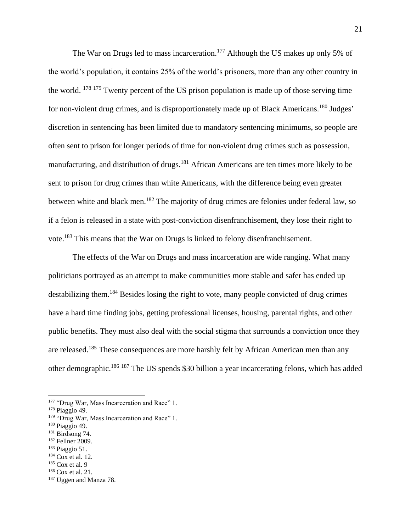The War on Drugs led to mass incarceration.<sup>177</sup> Although the US makes up only 5% of the world's population, it contains 25% of the world's prisoners, more than any other country in the world. <sup>178</sup> <sup>179</sup> Twenty percent of the US prison population is made up of those serving time for non-violent drug crimes, and is disproportionately made up of Black Americans.<sup>180</sup> Judges' discretion in sentencing has been limited due to mandatory sentencing minimums, so people are often sent to prison for longer periods of time for non-violent drug crimes such as possession, manufacturing, and distribution of drugs.<sup>181</sup> African Americans are ten times more likely to be sent to prison for drug crimes than white Americans, with the difference being even greater between white and black men.<sup>182</sup> The majority of drug crimes are felonies under federal law, so if a felon is released in a state with post-conviction disenfranchisement, they lose their right to vote.<sup>183</sup> This means that the War on Drugs is linked to felony disenfranchisement.

The effects of the War on Drugs and mass incarceration are wide ranging. What many politicians portrayed as an attempt to make communities more stable and safer has ended up destabilizing them.<sup>184</sup> Besides losing the right to vote, many people convicted of drug crimes have a hard time finding jobs, getting professional licenses, housing, parental rights, and other public benefits. They must also deal with the social stigma that surrounds a conviction once they are released.<sup>185</sup> These consequences are more harshly felt by African American men than any other demographic.<sup>186</sup> <sup>187</sup> The US spends \$30 billion a year incarcerating felons, which has added

- <sup>182</sup> Fellner 2009.
- <sup>183</sup> Piaggio 51.
- <sup>184</sup> Cox et al. 12.

<sup>186</sup> Cox et al. 21.

<sup>&</sup>lt;sup>177</sup> "Drug War, Mass Incarceration and Race" 1.

<sup>178</sup> Piaggio 49.

<sup>&</sup>lt;sup>179</sup> "Drug War, Mass Incarceration and Race" 1.

<sup>180</sup> Piaggio 49.

<sup>181</sup> Birdsong 74.

 $185$  Cox et al. 9

<sup>187</sup> Uggen and Manza 78.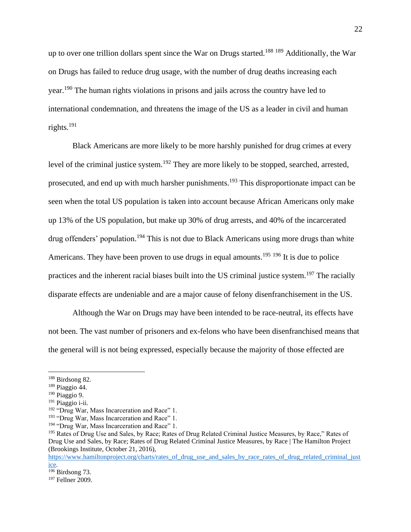up to over one trillion dollars spent since the War on Drugs started.<sup>188 189</sup> Additionally, the War on Drugs has failed to reduce drug usage, with the number of drug deaths increasing each year.<sup>190</sup> The human rights violations in prisons and jails across the country have led to international condemnation, and threatens the image of the US as a leader in civil and human rights.<sup>191</sup>

Black Americans are more likely to be more harshly punished for drug crimes at every level of the criminal justice system.<sup>192</sup> They are more likely to be stopped, searched, arrested, prosecuted, and end up with much harsher punishments.<sup>193</sup> This disproportionate impact can be seen when the total US population is taken into account because African Americans only make up 13% of the US population, but make up 30% of drug arrests, and 40% of the incarcerated drug offenders' population.<sup>194</sup> This is not due to Black Americans using more drugs than white Americans. They have been proven to use drugs in equal amounts.<sup>195 196</sup> It is due to police practices and the inherent racial biases built into the US criminal justice system.<sup>197</sup> The racially disparate effects are undeniable and are a major cause of felony disenfranchisement in the US.

Although the War on Drugs may have been intended to be race-neutral, its effects have not been. The vast number of prisoners and ex-felons who have been disenfranchised means that the general will is not being expressed, especially because the majority of those effected are

<sup>188</sup> Birdsong 82.

<sup>189</sup> Piaggio 44.

<sup>190</sup> Piaggio 9.

<sup>191</sup> Piaggio i-ii.

<sup>&</sup>lt;sup>192</sup> "Drug War, Mass Incarceration and Race" 1.

<sup>&</sup>lt;sup>193</sup> "Drug War, Mass Incarceration and Race" 1.

<sup>&</sup>lt;sup>194</sup> "Drug War, Mass Incarceration and Race" 1.

<sup>&</sup>lt;sup>195</sup> Rates of Drug Use and Sales, by Race; Rates of Drug Related Criminal Justice Measures, by Race," Rates of Drug Use and Sales, by Race; Rates of Drug Related Criminal Justice Measures, by Race | The Hamilton Project (Brookings Institute, October 21, 2016),

[https://www.hamiltonproject.org/charts/rates\\_of\\_drug\\_use\\_and\\_sales\\_by\\_race\\_rates\\_of\\_drug\\_related\\_criminal\\_just](https://www.hamiltonproject.org/charts/rates_of_drug_use_and_sales_by_race_rates_of_drug_related_criminal_justice) [ice.](https://www.hamiltonproject.org/charts/rates_of_drug_use_and_sales_by_race_rates_of_drug_related_criminal_justice)

 $\frac{1}{196}$ Birdsong 73.

<sup>197</sup> Fellner 2009.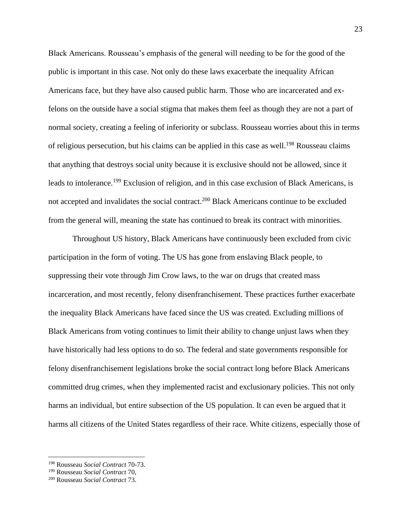Black Americans. Rousseau's emphasis of the general will needing to be for the good of the public is important in this case. Not only do these laws exacerbate the inequality African Americans face, but they have also caused public harm. Those who are incarcerated and exfelons on the outside have a social stigma that makes them feel as though they are not a part of normal society, creating a feeling of inferiority or subclass. Rousseau worries about this in terms of religious persecution, but his claims can be applied in this case as well.<sup>198</sup> Rousseau claims that anything that destroys social unity because it is exclusive should not be allowed, since it leads to intolerance.<sup>199</sup> Exclusion of religion, and in this case exclusion of Black Americans, is not accepted and invalidates the social contract.<sup>200</sup> Black Americans continue to be excluded from the general will, meaning the state has continued to break its contract with minorities.

Throughout US history, Black Americans have continuously been excluded from civic participation in the form of voting. The US has gone from enslaving Black people, to suppressing their vote through Jim Crow laws, to the war on drugs that created mass incarceration, and most recently, felony disenfranchisement. These practices further exacerbate the inequality Black Americans have faced since the US was created. Excluding millions of Black Americans from voting continues to limit their ability to change unjust laws when they have historically had less options to do so. The federal and state governments responsible for felony disenfranchisement legislations broke the social contract long before Black Americans committed drug crimes, when they implemented racist and exclusionary policies. This not only harms an individual, but entire subsection of the US population. It can even be argued that it harms all citizens of the United States regardless of their race. White citizens, especially those of

<sup>198</sup> Rousseau *Social Contract* 70-73.

<sup>199</sup> Rousseau *Social Contract* 70,

<sup>200</sup> Rousseau *Social Contract* 73.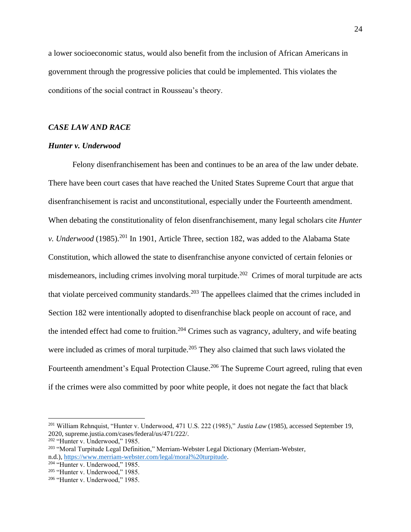a lower socioeconomic status, would also benefit from the inclusion of African Americans in government through the progressive policies that could be implemented. This violates the conditions of the social contract in Rousseau's theory.

# *CASE LAW AND RACE*

#### *Hunter v. Underwood*

Felony disenfranchisement has been and continues to be an area of the law under debate. There have been court cases that have reached the United States Supreme Court that argue that disenfranchisement is racist and unconstitutional, especially under the Fourteenth amendment. When debating the constitutionality of felon disenfranchisement, many legal scholars cite *Hunter v. Underwood* (1985). <sup>201</sup> In 1901, Article Three, section 182, was added to the Alabama State Constitution, which allowed the state to disenfranchise anyone convicted of certain felonies or misdemeanors, including crimes involving moral turpitude.<sup>202</sup> Crimes of moral turpitude are acts that violate perceived community standards.<sup>203</sup> The appellees claimed that the crimes included in Section 182 were intentionally adopted to disenfranchise black people on account of race, and the intended effect had come to fruition.<sup>204</sup> Crimes such as vagrancy, adultery, and wife beating were included as crimes of moral turpitude.<sup>205</sup> They also claimed that such laws violated the Fourteenth amendment's Equal Protection Clause.<sup>206</sup> The Supreme Court agreed, ruling that even if the crimes were also committed by poor white people, it does not negate the fact that black

<sup>201</sup> William Rehnquist, "Hunter v. Underwood, 471 U.S. 222 (1985)," *Justia Law* (1985), accessed September 19, 2020, supreme.justia.com/cases/federal/us/471/222/.

<sup>202</sup> "Hunter v. Underwood," 1985.

<sup>203</sup> "Moral Turpitude Legal Definition," Merriam-Webster Legal Dictionary (Merriam-Webster, n.d.), [https://www.merriam-webster.com/legal/moral%20turpitude.](https://www.merriam-webster.com/legal/moral%20turpitude)

<sup>204</sup> "Hunter v. Underwood," 1985.

<sup>205</sup> "Hunter v. Underwood," 1985.

<sup>206</sup> "Hunter v. Underwood," 1985.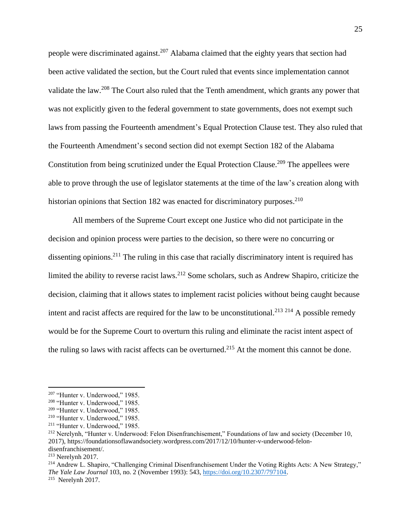people were discriminated against.<sup>207</sup> Alabama claimed that the eighty years that section had been active validated the section, but the Court ruled that events since implementation cannot validate the law.<sup>208</sup> The Court also ruled that the Tenth amendment, which grants any power that was not explicitly given to the federal government to state governments, does not exempt such laws from passing the Fourteenth amendment's Equal Protection Clause test. They also ruled that the Fourteenth Amendment's second section did not exempt Section 182 of the Alabama Constitution from being scrutinized under the Equal Protection Clause.<sup>209</sup> The appellees were able to prove through the use of legislator statements at the time of the law's creation along with historian opinions that Section 182 was enacted for discriminatory purposes.<sup>210</sup>

All members of the Supreme Court except one Justice who did not participate in the decision and opinion process were parties to the decision, so there were no concurring or dissenting opinions.<sup>211</sup> The ruling in this case that racially discriminatory intent is required has limited the ability to reverse racist laws.<sup>212</sup> Some scholars, such as Andrew Shapiro, criticize the decision, claiming that it allows states to implement racist policies without being caught because intent and racist affects are required for the law to be unconstitutional.<sup>213 214</sup> A possible remedy would be for the Supreme Court to overturn this ruling and eliminate the racist intent aspect of the ruling so laws with racist affects can be overturned.<sup>215</sup> At the moment this cannot be done.

<sup>214</sup> Andrew L. Shapiro, "Challenging Criminal Disenfranchisement Under the Voting Rights Acts: A New Strategy," *The Yale Law Journal* 103, no. 2 (November 1993): 543, [https://doi.org/10.2307/797104.](https://doi.org/10.2307/797104) 215 Nerelynh 2017.

<sup>207</sup> "Hunter v. Underwood," 1985.

<sup>208</sup> "Hunter v. Underwood," 1985.

<sup>209</sup> "Hunter v. Underwood," 1985.

<sup>210</sup> "Hunter v. Underwood," 1985.

<sup>211</sup> "Hunter v. Underwood," 1985.

<sup>212</sup> Nerelynh, "Hunter v. Underwood: Felon Disenfranchisement," Foundations of law and society (December 10, 2017), https://foundationsoflawandsociety.wordpress.com/2017/12/10/hunter-v-underwood-felondisenfranchisement/.

<sup>213</sup> Nerelynh 2017.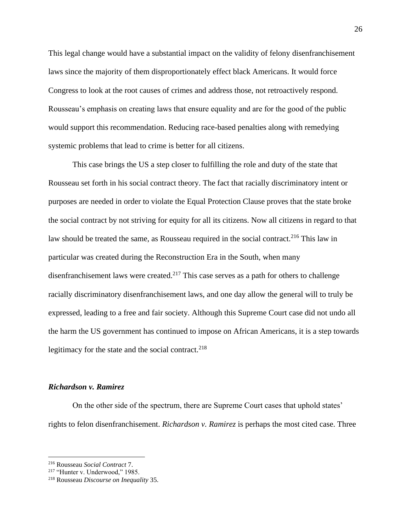This legal change would have a substantial impact on the validity of felony disenfranchisement laws since the majority of them disproportionately effect black Americans. It would force Congress to look at the root causes of crimes and address those, not retroactively respond. Rousseau's emphasis on creating laws that ensure equality and are for the good of the public would support this recommendation. Reducing race-based penalties along with remedying systemic problems that lead to crime is better for all citizens.

This case brings the US a step closer to fulfilling the role and duty of the state that Rousseau set forth in his social contract theory. The fact that racially discriminatory intent or purposes are needed in order to violate the Equal Protection Clause proves that the state broke the social contract by not striving for equity for all its citizens. Now all citizens in regard to that law should be treated the same, as Rousseau required in the social contract.<sup>216</sup> This law in particular was created during the Reconstruction Era in the South, when many disenfranchisement laws were created.<sup>217</sup> This case serves as a path for others to challenge racially discriminatory disenfranchisement laws, and one day allow the general will to truly be expressed, leading to a free and fair society. Although this Supreme Court case did not undo all the harm the US government has continued to impose on African Americans, it is a step towards legitimacy for the state and the social contract. $218$ 

#### *Richardson v. Ramirez*

On the other side of the spectrum, there are Supreme Court cases that uphold states' rights to felon disenfranchisement. *Richardson v. Ramirez* is perhaps the most cited case. Three

<sup>216</sup> Rousseau *Social Contract* 7.

<sup>217</sup> "Hunter v. Underwood," 1985.

<sup>218</sup> Rousseau *Discourse on Inequality* 35.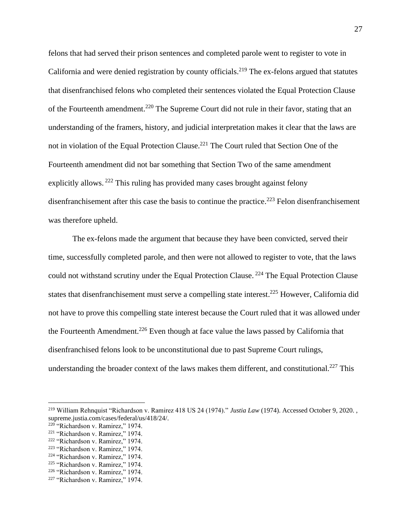felons that had served their prison sentences and completed parole went to register to vote in California and were denied registration by county officials.<sup>219</sup> The ex-felons argued that statutes that disenfranchised felons who completed their sentences violated the Equal Protection Clause of the Fourteenth amendment.<sup>220</sup> The Supreme Court did not rule in their favor, stating that an understanding of the framers, history, and judicial interpretation makes it clear that the laws are not in violation of the Equal Protection Clause.<sup>221</sup> The Court ruled that Section One of the Fourteenth amendment did not bar something that Section Two of the same amendment explicitly allows.<sup>222</sup> This ruling has provided many cases brought against felony disenfranchisement after this case the basis to continue the practice.<sup>223</sup> Felon disenfranchisement was therefore upheld.

The ex-felons made the argument that because they have been convicted, served their time, successfully completed parole, and then were not allowed to register to vote, that the laws could not withstand scrutiny under the Equal Protection Clause.<sup>224</sup> The Equal Protection Clause states that disenfranchisement must serve a compelling state interest.<sup>225</sup> However, California did not have to prove this compelling state interest because the Court ruled that it was allowed under the Fourteenth Amendment.<sup>226</sup> Even though at face value the laws passed by California that disenfranchised felons look to be unconstitutional due to past Supreme Court rulings, understanding the broader context of the laws makes them different, and constitutional.<sup>227</sup> This

<sup>219</sup> William Rehnquist "Richardson v. Ramirez 418 US 24 (1974)." *Justia Law* (1974). Accessed October 9, 2020. , supreme.justia.com/cases/federal/us/418/24/.

<sup>&</sup>lt;sup>220</sup> "Richardson v. Ramirez," 1974.

<sup>221</sup> "Richardson v. Ramirez," 1974.

<sup>222</sup> "Richardson v. Ramirez," 1974.

<sup>223</sup> "Richardson v. Ramirez," 1974.

<sup>224</sup> "Richardson v. Ramirez," 1974.

<sup>225</sup> "Richardson v. Ramirez," 1974.

<sup>226</sup> "Richardson v. Ramirez," 1974.

<sup>227</sup> "Richardson v. Ramirez," 1974.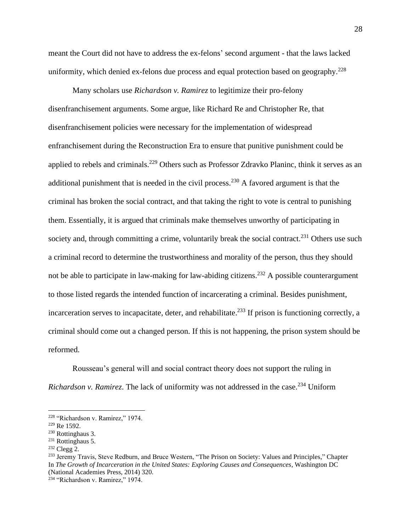meant the Court did not have to address the ex-felons' second argument - that the laws lacked uniformity, which denied ex-felons due process and equal protection based on geography.<sup>228</sup>

Many scholars use *Richardson v. Ramirez* to legitimize their pro-felony disenfranchisement arguments. Some argue, like Richard Re and Christopher Re, that disenfranchisement policies were necessary for the implementation of widespread enfranchisement during the Reconstruction Era to ensure that punitive punishment could be applied to rebels and criminals.<sup>229</sup> Others such as Professor Zdravko Planinc, think it serves as an additional punishment that is needed in the civil process.<sup>230</sup> A favored argument is that the criminal has broken the social contract, and that taking the right to vote is central to punishing them. Essentially, it is argued that criminals make themselves unworthy of participating in society and, through committing a crime, voluntarily break the social contract.<sup>231</sup> Others use such a criminal record to determine the trustworthiness and morality of the person, thus they should not be able to participate in law-making for law-abiding citizens.<sup>232</sup> A possible counterargument to those listed regards the intended function of incarcerating a criminal. Besides punishment, incarceration serves to incapacitate, deter, and rehabilitate.<sup>233</sup> If prison is functioning correctly, a criminal should come out a changed person. If this is not happening, the prison system should be reformed.

Rousseau's general will and social contract theory does not support the ruling in *Richardson v. Ramirez.* The lack of uniformity was not addressed in the case.<sup>234</sup> Uniform

<sup>228</sup> "Richardson v. Ramirez," 1974.

<sup>229</sup> Re 1592.

<sup>230</sup> Rottinghaus 3.

<sup>&</sup>lt;sup>231</sup> Rottinghaus 5.

<sup>232</sup> Clegg 2.

<sup>&</sup>lt;sup>233</sup> Jeremy Travis, Steve Redburn, and Bruce Western, "The Prison on Society: Values and Principles," Chapter In *The Growth of Incarceration in the United States: Exploring Causes and Consequences*, Washington DC (National Academies Press, 2014) 320.

<sup>234</sup> "Richardson v. Ramirez," 1974.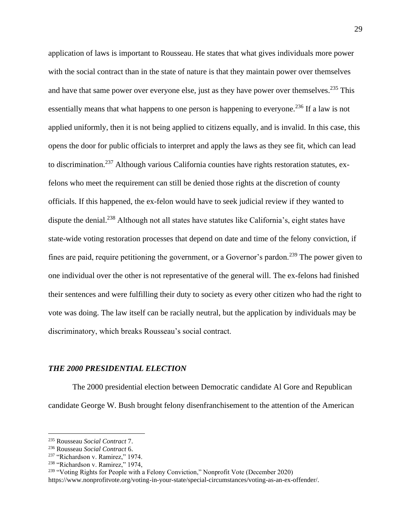application of laws is important to Rousseau. He states that what gives individuals more power with the social contract than in the state of nature is that they maintain power over themselves and have that same power over everyone else, just as they have power over themselves.<sup>235</sup> This essentially means that what happens to one person is happening to everyone.<sup>236</sup> If a law is not applied uniformly, then it is not being applied to citizens equally, and is invalid. In this case, this opens the door for public officials to interpret and apply the laws as they see fit, which can lead to discrimination.<sup>237</sup> Although various California counties have rights restoration statutes, exfelons who meet the requirement can still be denied those rights at the discretion of county officials. If this happened, the ex-felon would have to seek judicial review if they wanted to dispute the denial.<sup>238</sup> Although not all states have statutes like California's, eight states have state-wide voting restoration processes that depend on date and time of the felony conviction, if fines are paid, require petitioning the government, or a Governor's pardon.<sup>239</sup> The power given to one individual over the other is not representative of the general will. The ex-felons had finished their sentences and were fulfilling their duty to society as every other citizen who had the right to vote was doing. The law itself can be racially neutral, but the application by individuals may be discriminatory, which breaks Rousseau's social contract.

#### *THE 2000 PRESIDENTIAL ELECTION*

The 2000 presidential election between Democratic candidate Al Gore and Republican candidate George W. Bush brought felony disenfranchisement to the attention of the American

<sup>235</sup> Rousseau *Social Contract* 7.

<sup>236</sup> Rousseau *Social Contract* 6.

<sup>&</sup>lt;sup>237</sup> "Richardson v. Ramirez," 1974.

<sup>238</sup> "Richardson v. Ramirez," 1974,

<sup>&</sup>lt;sup>239</sup> "Voting Rights for People with a Felony Conviction," Nonprofit Vote (December 2020)

https://www.nonprofitvote.org/voting-in-your-state/special-circumstances/voting-as-an-ex-offender/.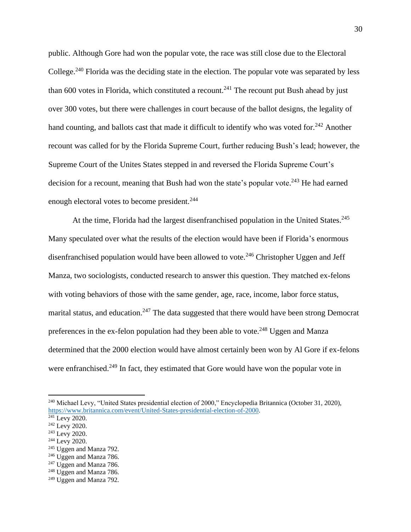public. Although Gore had won the popular vote, the race was still close due to the Electoral College.<sup>240</sup> Florida was the deciding state in the election. The popular vote was separated by less than 600 votes in Florida, which constituted a recount.<sup>241</sup> The recount put Bush ahead by just over 300 votes, but there were challenges in court because of the ballot designs, the legality of hand counting, and ballots cast that made it difficult to identify who was voted for.<sup>242</sup> Another recount was called for by the Florida Supreme Court, further reducing Bush's lead; however, the Supreme Court of the Unites States stepped in and reversed the Florida Supreme Court's decision for a recount, meaning that Bush had won the state's popular vote.<sup>243</sup> He had earned enough electoral votes to become president.<sup>244</sup>

At the time, Florida had the largest disenfranchised population in the United States.<sup>245</sup> Many speculated over what the results of the election would have been if Florida's enormous disenfranchised population would have been allowed to vote.<sup>246</sup> Christopher Uggen and Jeff Manza, two sociologists, conducted research to answer this question. They matched ex-felons with voting behaviors of those with the same gender, age, race, income, labor force status, marital status, and education.<sup>247</sup> The data suggested that there would have been strong Democrat preferences in the ex-felon population had they been able to vote.<sup>248</sup> Uggen and Manza determined that the 2000 election would have almost certainly been won by Al Gore if ex-felons were enfranchised.<sup>249</sup> In fact, they estimated that Gore would have won the popular vote in

<sup>244</sup> Levy 2020.

<sup>240</sup> Michael Levy, "United States presidential election of 2000," Encyclopedia Britannica (October 31, 2020), [https://www.britannica.com/event/United-States-presidential-election-of-2000.](https://www.britannica.com/event/United-States-presidential-election-of-2000)

 $241$  Levy 2020.

<sup>242</sup> Levy 2020.

<sup>&</sup>lt;sup>243</sup> Levy 2020.

<sup>245</sup> Uggen and Manza 792.

 $246$  Uggen and Manza 786.

 $247$  Uggen and Manza 786.

<sup>&</sup>lt;sup>248</sup> Uggen and Manza 786.

<sup>249</sup> Uggen and Manza 792.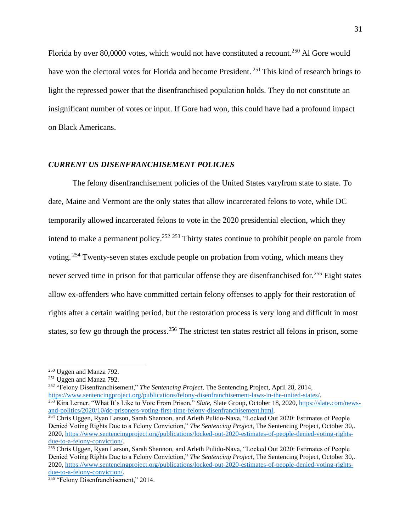Florida by over 80,0000 votes, which would not have constituted a recount.<sup>250</sup> Al Gore would have won the electoral votes for Florida and become President.<sup>251</sup> This kind of research brings to light the repressed power that the disenfranchised population holds. They do not constitute an insignificant number of votes or input. If Gore had won, this could have had a profound impact on Black Americans.

# *CURRENT US DISENFRANCHISEMENT POLICIES*

The felony disenfranchisement policies of the United States varyfrom state to state. To date, Maine and Vermont are the only states that allow incarcerated felons to vote, while DC temporarily allowed incarcerated felons to vote in the 2020 presidential election, which they intend to make a permanent policy.<sup>252 253</sup> Thirty states continue to prohibit people on parole from voting. <sup>254</sup> Twenty-seven states exclude people on probation from voting, which means they never served time in prison for that particular offense they are disenfranchised for.<sup>255</sup> Eight states allow ex-offenders who have committed certain felony offenses to apply for their restoration of rights after a certain waiting period, but the restoration process is very long and difficult in most states, so few go through the process.<sup>256</sup> The strictest ten states restrict all felons in prison, some

<sup>252</sup> "Felony Disenfranchisement," *The Sentencing Project,* The Sentencing Project, April 28, 2014, [https://www.sentencingproject.org/publications/felony-disenfranchisement-laws-in-the-united-states/.](https://www.sentencingproject.org/publications/felony-disenfranchisement-laws-in-the-united-states/)

<sup>250</sup> Uggen and Manza 792.

 $251 \text{Ugen}$  and Manza 792.

<sup>253</sup> Kira Lerner, "What It's Like to Vote From Prison," *Slate*, Slate Group, October 18, 2020, [https://slate.com/news](https://slate.com/news-and-politics/2020/10/dc-prisoners-voting-first-time-felony-disenfranchisement.html)[and-politics/2020/10/dc-prisoners-voting-first-time-felony-disenfranchisement.html.](https://slate.com/news-and-politics/2020/10/dc-prisoners-voting-first-time-felony-disenfranchisement.html)

<sup>&</sup>lt;sup>254</sup> Chris Uggen, Ryan Larson, Sarah Shannon, and Arleth Pulido-Nava, "Locked Out 2020: Estimates of People Denied Voting Rights Due to a Felony Conviction," *The Sentencing Project,* The Sentencing Project, October 30,. 2020, [https://www.sentencingproject.org/publications/locked-out-2020-estimates-of-people-denied-voting-rights](https://www.sentencingproject.org/publications/locked-out-2020-estimates-of-people-denied-voting-rights-due-to-a-felony-conviction/)[due-to-a-felony-conviction/.](https://www.sentencingproject.org/publications/locked-out-2020-estimates-of-people-denied-voting-rights-due-to-a-felony-conviction/)

<sup>&</sup>lt;sup>255</sup> Chris Uggen, Ryan Larson, Sarah Shannon, and Arleth Pulido-Nava, "Locked Out 2020: Estimates of People Denied Voting Rights Due to a Felony Conviction," *The Sentencing Project,* The Sentencing Project, October 30,. 2020, [https://www.sentencingproject.org/publications/locked-out-2020-estimates-of-people-denied-voting-rights](https://www.sentencingproject.org/publications/locked-out-2020-estimates-of-people-denied-voting-rights-due-to-a-felony-conviction/)[due-to-a-felony-conviction/.](https://www.sentencingproject.org/publications/locked-out-2020-estimates-of-people-denied-voting-rights-due-to-a-felony-conviction/)

<sup>256</sup> "Felony Disenfranchisement," 2014.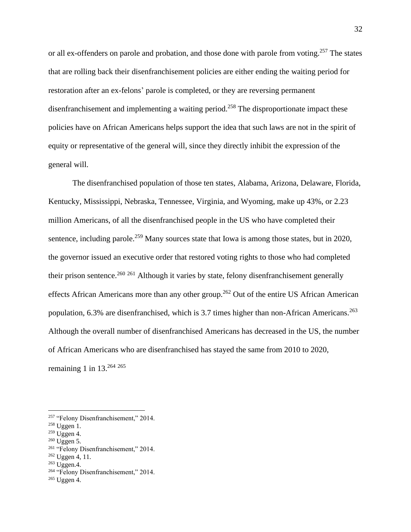or all ex-offenders on parole and probation, and those done with parole from voting.<sup>257</sup> The states that are rolling back their disenfranchisement policies are either ending the waiting period for restoration after an ex-felons' parole is completed, or they are reversing permanent disenfranchisement and implementing a waiting period.<sup>258</sup> The disproportionate impact these policies have on African Americans helps support the idea that such laws are not in the spirit of equity or representative of the general will, since they directly inhibit the expression of the general will.

The disenfranchised population of those ten states, Alabama, Arizona, Delaware, Florida, Kentucky, Mississippi, Nebraska, Tennessee, Virginia, and Wyoming, make up 43%, or 2.23 million Americans, of all the disenfranchised people in the US who have completed their sentence, including parole.<sup>259</sup> Many sources state that Iowa is among those states, but in 2020, the governor issued an executive order that restored voting rights to those who had completed their prison sentence.<sup>260 261</sup> Although it varies by state, felony disenfranchisement generally effects African Americans more than any other group.<sup>262</sup> Out of the entire US African American population,  $6.3\%$  are disenfranchised, which is 3.7 times higher than non-African Americans.<sup>263</sup> Although the overall number of disenfranchised Americans has decreased in the US, the number of African Americans who are disenfranchised has stayed the same from 2010 to 2020, remaining 1 in  $13.^{264}$   $265$ 

<sup>265</sup> Uggen 4.

<sup>&</sup>lt;sup>257</sup> "Felony Disenfranchisement," 2014.

<sup>258</sup> Uggen 1.

 $259$  Uggen 4.

<sup>260</sup> Uggen 5.

<sup>261</sup> "Felony Disenfranchisement," 2014.

 $262$  Uggen 4, 11.

 $263$  Uggen.4.

<sup>&</sup>lt;sup>264</sup> "Felony Disenfranchisement," 2014.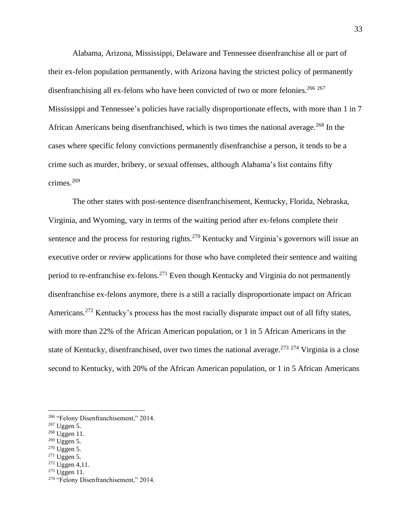Alabama, Arizona, Mississippi, Delaware and Tennessee disenfranchise all or part of their ex-felon population permanently, with Arizona having the strictest policy of permanently disenfranchising all ex-felons who have been convicted of two or more felonies.<sup>266</sup> 267 Mississippi and Tennessee's policies have racially disproportionate effects, with more than 1 in 7 African Americans being disenfranchised, which is two times the national average.<sup>268</sup> In the cases where specific felony convictions permanently disenfranchise a person, it tends to be a crime such as murder, bribery, or sexual offenses, although Alabama's list contains fifty crimes.<sup>269</sup>

The other states with post-sentence disenfranchisement, Kentucky, Florida, Nebraska, Virginia, and Wyoming, vary in terms of the waiting period after ex-felons complete their sentence and the process for restoring rights.<sup>270</sup> Kentucky and Virginia's governors will issue an executive order or review applications for those who have completed their sentence and waiting period to re-enfranchise ex-felons.<sup>271</sup> Even though Kentucky and Virginia do not permanently disenfranchise ex-felons anymore, there is a still a racially disproportionate impact on African Americans.<sup>272</sup> Kentucky's process has the most racially disparate impact out of all fifty states, with more than 22% of the African American population, or 1 in 5 African Americans in the state of Kentucky, disenfranchised, over two times the national average.<sup>273 274</sup> Virginia is a close second to Kentucky, with 20% of the African American population, or 1 in 5 African Americans

- <sup>269</sup> Uggen 5.
- <sup>270</sup> Uggen 5.
- $271$  Uggen 5.
- $272$  Uggen 4,11.
- $273$  Uggen 11.

<sup>&</sup>lt;sup>266</sup> "Felony Disenfranchisement," 2014.

<sup>267</sup> Uggen 5.

<sup>268</sup> Uggen 11.

<sup>274</sup> "Felony Disenfranchisement," 2014.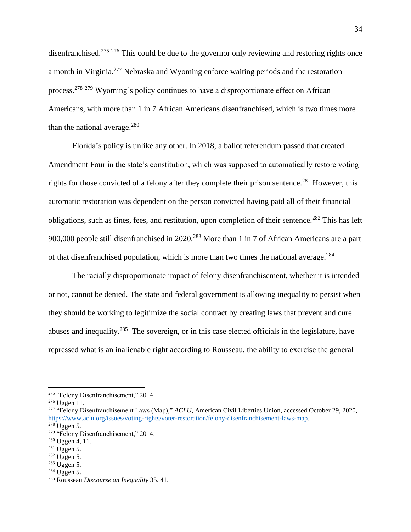disenfranchised.<sup>275 276</sup> This could be due to the governor only reviewing and restoring rights once a month in Virginia.<sup>277</sup> Nebraska and Wyoming enforce waiting periods and the restoration process.<sup>278</sup> <sup>279</sup> Wyoming's policy continues to have a disproportionate effect on African Americans, with more than 1 in 7 African Americans disenfranchised, which is two times more than the national average. $280$ 

Florida's policy is unlike any other. In 2018, a ballot referendum passed that created Amendment Four in the state's constitution, which was supposed to automatically restore voting rights for those convicted of a felony after they complete their prison sentence.<sup>281</sup> However, this automatic restoration was dependent on the person convicted having paid all of their financial obligations, such as fines, fees, and restitution, upon completion of their sentence.<sup>282</sup> This has left 900,000 people still disenfranchised in 2020.<sup>283</sup> More than 1 in 7 of African Americans are a part of that disenfranchised population, which is more than two times the national average.<sup>284</sup>

The racially disproportionate impact of felony disenfranchisement, whether it is intended or not, cannot be denied. The state and federal government is allowing inequality to persist when they should be working to legitimize the social contract by creating laws that prevent and cure abuses and inequality.<sup>285</sup> The sovereign, or in this case elected officials in the legislature, have repressed what is an inalienable right according to Rousseau, the ability to exercise the general

<sup>277</sup> "Felony Disenfranchisement Laws (Map)," *ACLU*, American Civil Liberties Union, accessed October 29, 2020, [https://www.aclu.org/issues/voting-rights/voter-restoration/felony-disenfranchisement-laws-map.](https://www.aclu.org/issues/voting-rights/voter-restoration/felony-disenfranchisement-laws-map)

<sup>&</sup>lt;sup>275</sup> "Felony Disenfranchisement," 2014.

<sup>276</sup> Uggen 11.

 $278$  Uggen 5.

<sup>&</sup>lt;sup>279</sup> "Felony Disenfranchisement," 2014.

<sup>280</sup> Uggen 4, 11.

<sup>281</sup> Uggen 5.

<sup>282</sup> Uggen 5.

 $283$  Uggen 5.

 $284$  Uggen 5.

<sup>285</sup> Rousseau *Discourse on Inequality* 35. 41.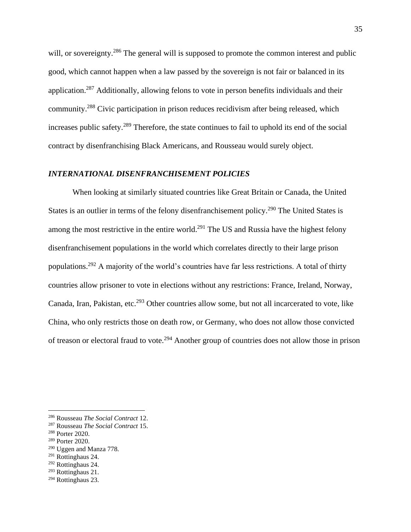will, or sovereignty.<sup>286</sup> The general will is supposed to promote the common interest and public good, which cannot happen when a law passed by the sovereign is not fair or balanced in its application.<sup>287</sup> Additionally, allowing felons to vote in person benefits individuals and their community.<sup>288</sup> Civic participation in prison reduces recidivism after being released, which increases public safety.<sup>289</sup> Therefore, the state continues to fail to uphold its end of the social contract by disenfranchising Black Americans, and Rousseau would surely object.

# *INTERNATIONAL DISENFRANCHISEMENT POLICIES*

When looking at similarly situated countries like Great Britain or Canada, the United States is an outlier in terms of the felony disenfranchisement policy.<sup>290</sup> The United States is among the most restrictive in the entire world.<sup>291</sup> The US and Russia have the highest felony disenfranchisement populations in the world which correlates directly to their large prison populations.<sup>292</sup> A majority of the world's countries have far less restrictions. A total of thirty countries allow prisoner to vote in elections without any restrictions: France, Ireland, Norway, Canada, Iran, Pakistan, etc.<sup>293</sup> Other countries allow some, but not all incarcerated to vote, like China, who only restricts those on death row, or Germany, who does not allow those convicted of treason or electoral fraud to vote.<sup>294</sup> Another group of countries does not allow those in prison

- <sup>289</sup> Porter 2020.
- <sup>290</sup> Uggen and Manza 778.
- <sup>291</sup> Rottinghaus 24.
- <sup>292</sup> Rottinghaus 24.
- <sup>293</sup> Rottinghaus 21.

<sup>286</sup> Rousseau *The Social Contract* 12.

<sup>287</sup> Rousseau *The Social Contract* 15.

<sup>288</sup> Porter 2020.

<sup>294</sup> Rottinghaus 23.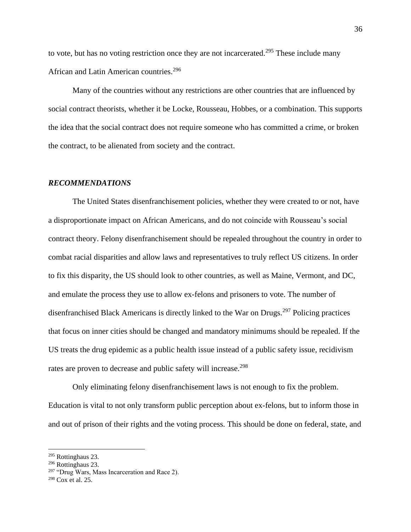to vote, but has no voting restriction once they are not incarcerated.<sup>295</sup> These include many African and Latin American countries.<sup>296</sup>

Many of the countries without any restrictions are other countries that are influenced by social contract theorists, whether it be Locke, Rousseau, Hobbes, or a combination. This supports the idea that the social contract does not require someone who has committed a crime, or broken the contract, to be alienated from society and the contract.

#### *RECOMMENDATIONS*

The United States disenfranchisement policies, whether they were created to or not, have a disproportionate impact on African Americans, and do not coincide with Rousseau's social contract theory. Felony disenfranchisement should be repealed throughout the country in order to combat racial disparities and allow laws and representatives to truly reflect US citizens. In order to fix this disparity, the US should look to other countries, as well as Maine, Vermont, and DC, and emulate the process they use to allow ex-felons and prisoners to vote. The number of disenfranchised Black Americans is directly linked to the War on Drugs.<sup>297</sup> Policing practices that focus on inner cities should be changed and mandatory minimums should be repealed. If the US treats the drug epidemic as a public health issue instead of a public safety issue, recidivism rates are proven to decrease and public safety will increase.<sup>298</sup>

Only eliminating felony disenfranchisement laws is not enough to fix the problem. Education is vital to not only transform public perception about ex-felons, but to inform those in and out of prison of their rights and the voting process. This should be done on federal, state, and

<sup>295</sup> Rottinghaus 23.

<sup>296</sup> Rottinghaus 23.

<sup>&</sup>lt;sup>297</sup> "Drug Wars, Mass Incarceration and Race 2).

<sup>298</sup> Cox et al. 25.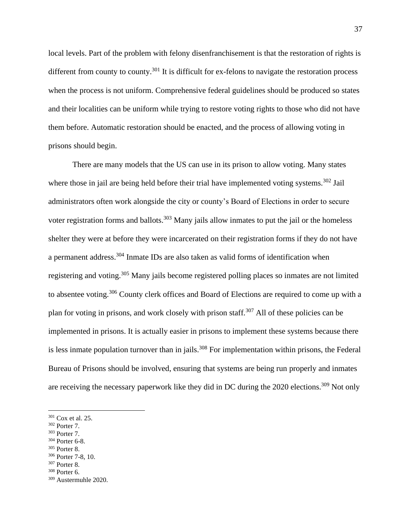local levels. Part of the problem with felony disenfranchisement is that the restoration of rights is different from county to county.<sup>301</sup> It is difficult for ex-felons to navigate the restoration process when the process is not uniform. Comprehensive federal guidelines should be produced so states and their localities can be uniform while trying to restore voting rights to those who did not have them before. Automatic restoration should be enacted, and the process of allowing voting in prisons should begin.

There are many models that the US can use in its prison to allow voting. Many states where those in jail are being held before their trial have implemented voting systems.<sup>302</sup> Jail administrators often work alongside the city or county's Board of Elections in order to secure voter registration forms and ballots.<sup>303</sup> Many jails allow inmates to put the jail or the homeless shelter they were at before they were incarcerated on their registration forms if they do not have a permanent address.<sup>304</sup> Inmate IDs are also taken as valid forms of identification when registering and voting.<sup>305</sup> Many jails become registered polling places so inmates are not limited to absentee voting.<sup>306</sup> County clerk offices and Board of Elections are required to come up with a plan for voting in prisons, and work closely with prison staff.<sup>307</sup> All of these policies can be implemented in prisons. It is actually easier in prisons to implement these systems because there is less inmate population turnover than in jails.<sup>308</sup> For implementation within prisons, the Federal Bureau of Prisons should be involved, ensuring that systems are being run properly and inmates are receiving the necessary paperwork like they did in DC during the 2020 elections.<sup>309</sup> Not only

- <sup>304</sup> Porter 6-8.
- <sup>305</sup> Porter 8.

<sup>308</sup> Porter 6.

<sup>301</sup> Cox et al. 25.

<sup>302</sup> Porter 7.

<sup>303</sup> Porter 7.

<sup>306</sup> Porter 7-8, 10.

<sup>307</sup> Porter 8.

<sup>309</sup> Austermuhle 2020.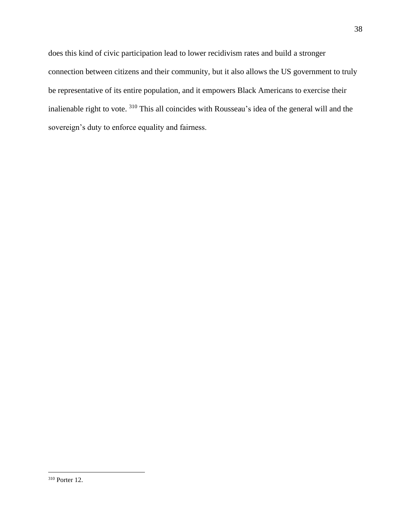does this kind of civic participation lead to lower recidivism rates and build a stronger connection between citizens and their community, but it also allows the US government to truly be representative of its entire population, and it empowers Black Americans to exercise their inalienable right to vote. <sup>310</sup> This all coincides with Rousseau's idea of the general will and the sovereign's duty to enforce equality and fairness.

<sup>310</sup> Porter 12.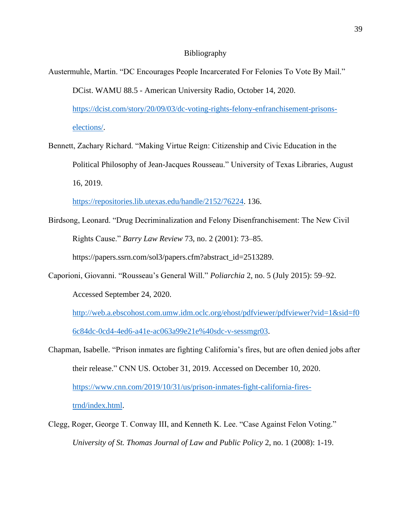#### Bibliography

- Austermuhle, Martin. "DC Encourages People Incarcerated For Felonies To Vote By Mail." DCist. WAMU 88.5 - American University Radio, October 14, 2020. [https://dcist.com/story/20/09/03/dc-voting-rights-felony-enfranchisement-prisons](https://dcist.com/story/20/09/03/dc-voting-rights-felony-enfranchisement-prisons-elections/)[elections/.](https://dcist.com/story/20/09/03/dc-voting-rights-felony-enfranchisement-prisons-elections/)
- Bennett, Zachary Richard. "Making Virtue Reign: Citizenship and Civic Education in the Political Philosophy of Jean-Jacques Rousseau." University of Texas Libraries, August 16, 2019.

[https://repositories.lib.utexas.edu/handle/2152/76224.](https://repositories.lib.utexas.edu/handle/2152/76224) 136.

- Birdsong, Leonard. "Drug Decriminalization and Felony Disenfranchisement: The New Civil Rights Cause." *Barry Law Review* 73, no. 2 (2001): 73–85. https://papers.ssrn.com/sol3/papers.cfm?abstract\_id=2513289.
- Caporioni, Giovanni. "Rousseau's General Will." *Poliarchia* 2, no. 5 (July 2015): 59–92. Accessed September 24, 2020.

[http://web.a.ebscohost.com.umw.idm.oclc.org/ehost/pdfviewer/pdfviewer?vid=1&sid=f0](http://web.a.ebscohost.com.umw.idm.oclc.org/ehost/pdfviewer/pdfviewer?vid=1&sid=f06c84dc-0cd4-4ed6-a41e-ac063a99e21e%40sdc-v-sessmgr03) [6c84dc-0cd4-4ed6-a41e-ac063a99e21e%40sdc-v-sessmgr03.](http://web.a.ebscohost.com.umw.idm.oclc.org/ehost/pdfviewer/pdfviewer?vid=1&sid=f06c84dc-0cd4-4ed6-a41e-ac063a99e21e%40sdc-v-sessmgr03)

- Chapman, Isabelle. "Prison inmates are fighting California's fires, but are often denied jobs after their release." CNN US. October 31, 2019. Accessed on December 10, 2020. [https://www.cnn.com/2019/10/31/us/prison-inmates-fight-california-fires](https://www.cnn.com/2019/10/31/us/prison-inmates-fight-california-fires-trnd/index.html)[trnd/index.html.](https://www.cnn.com/2019/10/31/us/prison-inmates-fight-california-fires-trnd/index.html)
- Clegg, Roger, George T. Conway III, and Kenneth K. Lee. "Case Against Felon Voting." *University of St. Thomas Journal of Law and Public Policy* 2, no. 1 (2008): 1-19.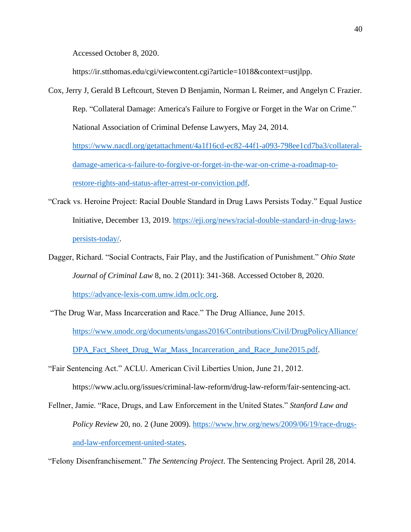Accessed October 8, 2020.

https://ir.stthomas.edu/cgi/viewcontent.cgi?article=1018&context=ustjlpp.

- Cox, Jerry J, Gerald B Leftcourt, Steven D Benjamin, Norman L Reimer, and Angelyn C Frazier. Rep. "Collateral Damage: America's Failure to Forgive or Forget in the War on Crime." National Association of Criminal Defense Lawyers, May 24, 2014. [https://www.nacdl.org/getattachment/4a1f16cd-ec82-44f1-a093-798ee1cd7ba3/collateral](https://www.nacdl.org/getattachment/4a1f16cd-ec82-44f1-a093-798ee1cd7ba3/collateral-damage-america-s-failure-to-forgive-or-forget-in-the-war-on-crime-a-roadmap-to-restore-rights-and-status-after-arrest-or-conviction.pdf)[damage-america-s-failure-to-forgive-or-forget-in-the-war-on-crime-a-roadmap-to](https://www.nacdl.org/getattachment/4a1f16cd-ec82-44f1-a093-798ee1cd7ba3/collateral-damage-america-s-failure-to-forgive-or-forget-in-the-war-on-crime-a-roadmap-to-restore-rights-and-status-after-arrest-or-conviction.pdf)[restore-rights-and-status-after-arrest-or-conviction.pdf.](https://www.nacdl.org/getattachment/4a1f16cd-ec82-44f1-a093-798ee1cd7ba3/collateral-damage-america-s-failure-to-forgive-or-forget-in-the-war-on-crime-a-roadmap-to-restore-rights-and-status-after-arrest-or-conviction.pdf)
- "Crack vs. Heroine Project: Racial Double Standard in Drug Laws Persists Today." Equal Justice Initiative, December 13, 2019. [https://eji.org/news/racial-double-standard-in-drug-laws](https://eji.org/news/racial-double-standard-in-drug-laws-persists-today/)[persists-today/.](https://eji.org/news/racial-double-standard-in-drug-laws-persists-today/)
- Dagger, Richard. "Social Contracts, Fair Play, and the Justification of Punishment." *Ohio State Journal of Criminal Law* 8, no. 2 (2011): 341-368. Accessed October 8, 2020. [https://advance-lexis-com.umw.idm.oclc.org.](https://advance-lexis-com.umw.idm.oclc.org/)
- "The Drug War, Mass Incarceration and Race." The Drug Alliance, June 2015. [https://www.unodc.org/documents/ungass2016/Contributions/Civil/DrugPolicyAlliance/](https://www.unodc.org/documents/ungass2016/Contributions/Civil/DrugPolicyAlliance/DPA_Fact_Sheet_Drug_War_Mass_Incarceration_and_Race_June2015.pdf) [DPA\\_Fact\\_Sheet\\_Drug\\_War\\_Mass\\_Incarceration\\_and\\_Race\\_June2015.pdf.](https://www.unodc.org/documents/ungass2016/Contributions/Civil/DrugPolicyAlliance/DPA_Fact_Sheet_Drug_War_Mass_Incarceration_and_Race_June2015.pdf)
- "Fair Sentencing Act." ACLU. American Civil Liberties Union, June 21, 2012.

https://www.aclu.org/issues/criminal-law-reform/drug-law-reform/fair-sentencing-act.

Fellner, Jamie. "Race, Drugs, and Law Enforcement in the United States." *Stanford Law and Policy Review* 20, no. 2 (June 2009). [https://www.hrw.org/news/2009/06/19/race-drugs](https://www.hrw.org/news/2009/06/19/race-drugs-and-law-enforcement-united-states)[and-law-enforcement-united-states.](https://www.hrw.org/news/2009/06/19/race-drugs-and-law-enforcement-united-states)

"Felony Disenfranchisement." *The Sentencing Project*. The Sentencing Project. April 28, 2014.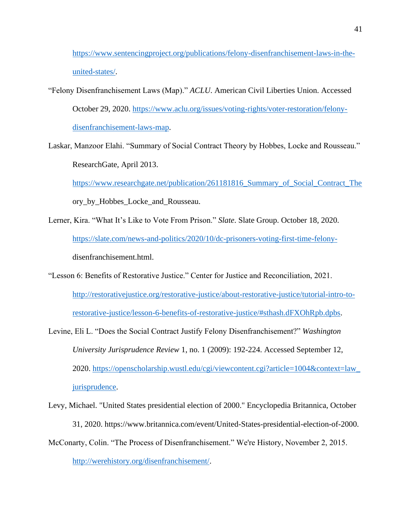[https://www.sentencingproject.org/publications/felony-disenfranchisement-laws-in-the](https://www.sentencingproject.org/publications/felony-disenfranchisement-laws-in-the-united-states/)[united-states/.](https://www.sentencingproject.org/publications/felony-disenfranchisement-laws-in-the-united-states/)

"Felony Disenfranchisement Laws (Map)." *ACLU*. American Civil Liberties Union. Accessed October 29, 2020. [https://www.aclu.org/issues/voting-rights/voter-restoration/felony](https://www.aclu.org/issues/voting-rights/voter-restoration/felony-disenfranchisement-laws-map)[disenfranchisement-laws-map.](https://www.aclu.org/issues/voting-rights/voter-restoration/felony-disenfranchisement-laws-map)

Laskar, Manzoor Elahi. "Summary of Social Contract Theory by Hobbes, Locke and Rousseau." ResearchGate, April 2013.

[https://www.researchgate.net/publication/261181816\\_Summary\\_of\\_Social\\_Contract\\_The](https://www.researchgate.net/publication/261181816_Summary_of_Social_Contract_The) ory\_by\_Hobbes\_Locke\_and\_Rousseau.

- Lerner, Kira. "What It's Like to Vote From Prison." *Slate*. Slate Group. October 18, 2020. [https://slate.com/news-and-politics/2020/10/dc-prisoners-voting-first-time-felony](https://slate.com/news-and-politics/2020/10/dc-prisoners-voting-first-time-felony-)disenfranchisement.html.
- "Lesson 6: Benefits of Restorative Justice." Center for Justice and Reconciliation, 2021. [http://restorativejustice.org/restorative-justice/about-restorative-justice/tutorial-intro-to](http://restorativejustice.org/restorative-justice/about-restorative-justice/tutorial-intro-to-restorative-justice/lesson-6-benefits-of-restorative-justice/#sthash.dFXOhRpb.dpbs)[restorative-justice/lesson-6-benefits-of-restorative-justice/#sthash.dFXOhRpb.dpbs.](http://restorativejustice.org/restorative-justice/about-restorative-justice/tutorial-intro-to-restorative-justice/lesson-6-benefits-of-restorative-justice/#sthash.dFXOhRpb.dpbs)
- Levine, Eli L. "Does the Social Contract Justify Felony Disenfranchisement?" *Washington University Jurisprudence Review* 1, no. 1 (2009): 192-224. Accessed September 12, 2020. [https://openscholarship.wustl.edu/cgi/viewcontent.cgi?article=1004&context=law\\_](https://openscholarship.wustl.edu/cgi/viewcontent.cgi?article=1004&context=law_%20jurisprudence)  [jurisprudence.](https://openscholarship.wustl.edu/cgi/viewcontent.cgi?article=1004&context=law_%20jurisprudence)
- Levy, Michael. "United States presidential election of 2000." Encyclopedia Britannica, October 31, 2020. https://www.britannica.com/event/United-States-presidential-election-of-2000.
- McConarty, Colin. "The Process of Disenfranchisement." We're History, November 2, 2015.

[http://werehistory.org/disenfranchisement/.](http://werehistory.org/disenfranchisement/)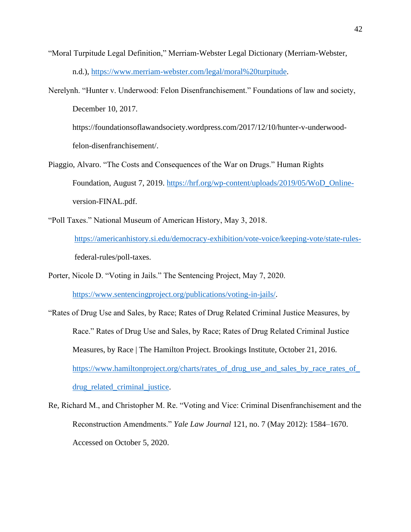- "Moral Turpitude Legal Definition," Merriam-Webster Legal Dictionary (Merriam-Webster, n.d.), [https://www.merriam-webster.com/legal/moral%20turpitude.](https://www.merriam-webster.com/legal/moral%20turpitude)
- Nerelynh. "Hunter v. Underwood: Felon Disenfranchisement." Foundations of law and society, December 10, 2017.

https://foundationsoflawandsociety.wordpress.com/2017/12/10/hunter-v-underwoodfelon-disenfranchisement/.

- Piaggio, Alvaro. "The Costs and Consequences of the War on Drugs." Human Rights Foundation, August 7, 2019. [https://hrf.org/wp-content/uploads/2019/05/WoD\\_Online](https://hrf.org/wp-content/uploads/2019/05/WoD_Online-)version-FINAL.pdf.
- "Poll Taxes." National Museum of American History, May 3, 2018. [https://americanhistory.si.edu/democracy-exhibition/vote-voice/keeping-vote/state-rules](https://americanhistory.si.edu/democracy-exhibition/vote-voice/keeping-vote/state-rules-) federal-rules/poll-taxes.
- Porter, Nicole D. "Voting in Jails." The Sentencing Project, May 7, 2020. [https://www.sentencingproject.org/publications/voting-in-jails/.](https://www.sentencingproject.org/publications/voting-in-jails/)
- "Rates of Drug Use and Sales, by Race; Rates of Drug Related Criminal Justice Measures, by Race." Rates of Drug Use and Sales, by Race; Rates of Drug Related Criminal Justice Measures, by Race | The Hamilton Project. Brookings Institute, October 21, 2016. [https://www.hamiltonproject.org/charts/rates\\_of\\_drug\\_use\\_and\\_sales\\_by\\_race\\_rates\\_of\\_](https://www.hamiltonproject.org/charts/rates_of_drug_use_and_sales_by_race_rates_of_drug_related_criminal_justice) [drug\\_related\\_criminal\\_justice.](https://www.hamiltonproject.org/charts/rates_of_drug_use_and_sales_by_race_rates_of_drug_related_criminal_justice)
- Re, Richard M., and Christopher M. Re. "Voting and Vice: Criminal Disenfranchisement and the Reconstruction Amendments." *Yale Law Journal* 121, no. 7 (May 2012): 1584–1670. Accessed on October 5, 2020.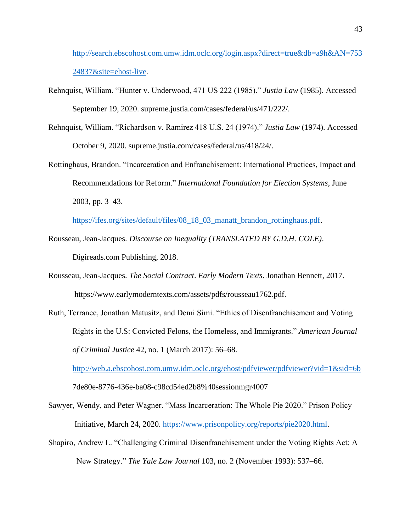[http://search.ebscohost.com.umw.idm.oclc.org/login.aspx?direct=true&db=a9h&AN=753](http://search.ebscohost.com.umw.idm.oclc.org/login.aspx?direct=true&db=a9h&AN=75324837&site=ehost-live) [24837&site=ehost-live](http://search.ebscohost.com.umw.idm.oclc.org/login.aspx?direct=true&db=a9h&AN=75324837&site=ehost-live)*.*

- Rehnquist, William. "Hunter v. Underwood, 471 US 222 (1985)." *Justia Law* (1985). Accessed September 19, 2020. supreme.justia.com/cases/federal/us/471/222/.
- Rehnquist, William. "Richardson v. Ramirez 418 U.S. 24 (1974)." *Justia Law* (1974). Accessed October 9, 2020. supreme.justia.com/cases/federal/us/418/24/.
- Rottinghaus, Brandon. "Incarceration and Enfranchisement: International Practices, Impact and Recommendations for Reform." *International Foundation for Election Systems*, June 2003, pp. 3–43.

[https://ifes.org/sites/default/files/08\\_18\\_03\\_manatt\\_brandon\\_rottinghaus.pdf.](https://ifes.org/sites/default/files/08_18_03_manatt_brandon_rottinghaus.pdf)

- Rousseau, Jean-Jacques. *Discourse on Inequality (TRANSLATED BY G.D.H. COLE)*. Digireads.com Publishing, 2018.
- Rousseau, Jean-Jacques. *The Social Contract*. *Early Modern Texts*. Jonathan Bennett, 2017. https://www.earlymoderntexts.com/assets/pdfs/rousseau1762.pdf.
- Ruth, Terrance, Jonathan Matusitz, and Demi Simi. "Ethics of Disenfranchisement and Voting Rights in the U.S: Convicted Felons, the Homeless, and Immigrants." *American Journal of Criminal Justice* 42, no. 1 (March 2017): 56–68.

<http://web.a.ebscohost.com.umw.idm.oclc.org/ehost/pdfviewer/pdfviewer?vid=1&sid=6b>

7de80e-8776-436e-ba08-c98cd54ed2b8%40sessionmgr4007

- Sawyer, Wendy, and Peter Wagner. "Mass Incarceration: The Whole Pie 2020." Prison Policy Initiative, March 24, 2020. [https://www.prisonpolicy.org/reports/pie2020.html.](https://www.prisonpolicy.org/reports/pie2020.html)
- Shapiro, Andrew L. "Challenging Criminal Disenfranchisement under the Voting Rights Act: A New Strategy." *The Yale Law Journal* 103, no. 2 (November 1993): 537–66.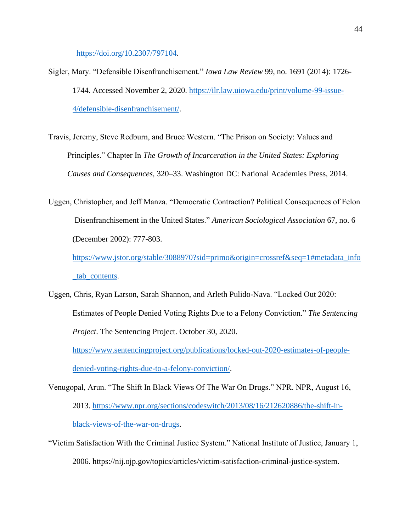[https://doi.org/10.2307/797104.](https://doi.org/10.2307/797104)

- Sigler, Mary. "Defensible Disenfranchisement." *Iowa Law Review* 99, no. 1691 (2014): 1726- 1744. Accessed November 2, 2020. [https://ilr.law.uiowa.edu/print/volume-99-issue-](https://ilr.law.uiowa.edu/print/volume-99-issue-4/defensible-disenfranchisement/)[4/defensible-disenfranchisement/.](https://ilr.law.uiowa.edu/print/volume-99-issue-4/defensible-disenfranchisement/)
- Travis, Jeremy, Steve Redburn, and Bruce Western. "The Prison on Society: Values and Principles." Chapter In *The Growth of Incarceration in the United States: Exploring Causes and Consequences*, 320–33. Washington DC: National Academies Press, 2014.
- Uggen, Christopher, and Jeff Manza. "Democratic Contraction? Political Consequences of Felon Disenfranchisement in the United States." *American Sociological Association* 67, no. 6 (December 2002): 777-803.

[https://www.jstor.org/stable/3088970?sid=primo&origin=crossref&seq=1#metadata\\_info](https://www.jstor.org/stable/3088970?sid=primo&origin=crossref&seq=1#metadata_info_tab_contents) [\\_tab\\_contents.](https://www.jstor.org/stable/3088970?sid=primo&origin=crossref&seq=1#metadata_info_tab_contents)

Uggen, Chris, Ryan Larson, Sarah Shannon, and Arleth Pulido-Nava. "Locked Out 2020: Estimates of People Denied Voting Rights Due to a Felony Conviction." *The Sentencing Project*. The Sentencing Project. October 30, 2020.

[https://www.sentencingproject.org/publications/locked-out-2020-estimates-of-people](https://www.sentencingproject.org/publications/locked-out-2020-estimates-of-people-denied-voting-rights-due-to-a-felony-conviction/)[denied-voting-rights-due-to-a-felony-conviction/.](https://www.sentencingproject.org/publications/locked-out-2020-estimates-of-people-denied-voting-rights-due-to-a-felony-conviction/)

- Venugopal, Arun. "The Shift In Black Views Of The War On Drugs." NPR. NPR, August 16, 2013. [https://www.npr.org/sections/codeswitch/2013/08/16/212620886/the-shift-in](https://www.npr.org/sections/codeswitch/2013/08/16/212620886/the-shift-in-black-views-of-the-war-on-drugs)[black-views-of-the-war-on-drugs.](https://www.npr.org/sections/codeswitch/2013/08/16/212620886/the-shift-in-black-views-of-the-war-on-drugs)
- "Victim Satisfaction With the Criminal Justice System." National Institute of Justice, January 1, 2006. https://nij.ojp.gov/topics/articles/victim-satisfaction-criminal-justice-system.